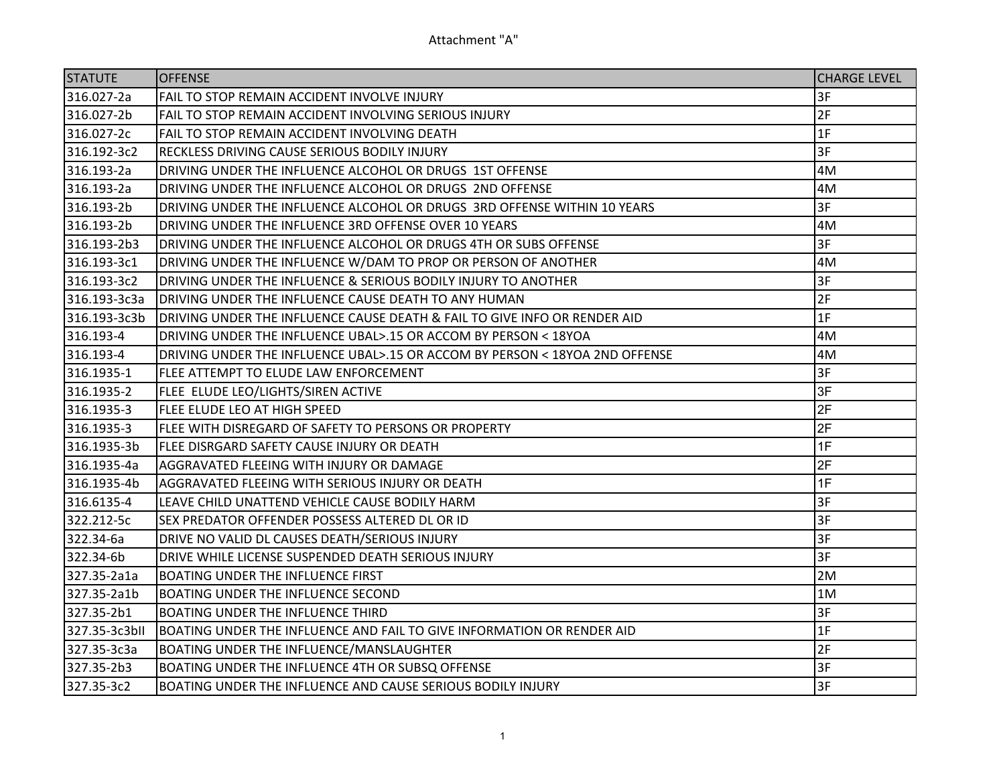| <b>STATUTE</b> | <b>OFFENSE</b>                                                              | <b>CHARGE LEVEL</b> |
|----------------|-----------------------------------------------------------------------------|---------------------|
| 316.027-2a     | FAIL TO STOP REMAIN ACCIDENT INVOLVE INJURY                                 | 3F                  |
| 316.027-2b     | FAIL TO STOP REMAIN ACCIDENT INVOLVING SERIOUS INJURY                       | 2F                  |
| 316.027-2c     | FAIL TO STOP REMAIN ACCIDENT INVOLVING DEATH                                | 1F                  |
| 316.192-3c2    | RECKLESS DRIVING CAUSE SERIOUS BODILY INJURY                                | 3F                  |
| 316.193-2a     | DRIVING UNDER THE INFLUENCE ALCOHOL OR DRUGS 1ST OFFENSE                    | 4M                  |
| 316.193-2a     | DRIVING UNDER THE INFLUENCE ALCOHOL OR DRUGS 2ND OFFENSE                    | 4M                  |
| 316.193-2b     | DRIVING UNDER THE INFLUENCE ALCOHOL OR DRUGS 3RD OFFENSE WITHIN 10 YEARS    | 3F                  |
| 316.193-2b     | DRIVING UNDER THE INFLUENCE 3RD OFFENSE OVER 10 YEARS                       | 4M                  |
| 316.193-2b3    | DRIVING UNDER THE INFLUENCE ALCOHOL OR DRUGS 4TH OR SUBS OFFENSE            | 3F                  |
| 316.193-3c1    | DRIVING UNDER THE INFLUENCE W/DAM TO PROP OR PERSON OF ANOTHER              | 4M                  |
| 316.193-3c2    | DRIVING UNDER THE INFLUENCE & SERIOUS BODILY INJURY TO ANOTHER              | 3F                  |
| 316.193-3c3a   | DRIVING UNDER THE INFLUENCE CAUSE DEATH TO ANY HUMAN                        | 2F                  |
| 316.193-3c3b   | DRIVING UNDER THE INFLUENCE CAUSE DEATH & FAIL TO GIVE INFO OR RENDER AID   | 1F                  |
| 316.193-4      | DRIVING UNDER THE INFLUENCE UBAL>.15 OR ACCOM BY PERSON < 18YOA             | 4M                  |
| 316.193-4      | DRIVING UNDER THE INFLUENCE UBAL>.15 OR ACCOM BY PERSON < 18YOA 2ND OFFENSE | 4M                  |
| 316.1935-1     | FLEE ATTEMPT TO ELUDE LAW ENFORCEMENT                                       | 3F                  |
| 316.1935-2     | FLEE ELUDE LEO/LIGHTS/SIREN ACTIVE                                          | 3F                  |
| 316.1935-3     | FLEE ELUDE LEO AT HIGH SPEED                                                | 2F                  |
| 316.1935-3     | FLEE WITH DISREGARD OF SAFETY TO PERSONS OR PROPERTY                        | 2F                  |
| 316.1935-3b    | FLEE DISRGARD SAFETY CAUSE INJURY OR DEATH                                  | 1F                  |
| 316.1935-4a    | AGGRAVATED FLEEING WITH INJURY OR DAMAGE                                    | 2F                  |
| 316.1935-4b    | AGGRAVATED FLEEING WITH SERIOUS INJURY OR DEATH                             | 1F                  |
| 316.6135-4     | LEAVE CHILD UNATTEND VEHICLE CAUSE BODILY HARM                              | 3F                  |
| 322.212-5c     | SEX PREDATOR OFFENDER POSSESS ALTERED DL OR ID                              | 3F                  |
| 322.34-6a      | DRIVE NO VALID DL CAUSES DEATH/SERIOUS INJURY                               | 3F                  |
| 322.34-6b      | DRIVE WHILE LICENSE SUSPENDED DEATH SERIOUS INJURY                          | 3F                  |
| 327.35-2a1a    | <b>BOATING UNDER THE INFLUENCE FIRST</b>                                    | 2M                  |
| 327.35-2a1b    | <b>BOATING UNDER THE INFLUENCE SECOND</b>                                   | 1M                  |
| 327.35-2b1     | <b>BOATING UNDER THE INFLUENCE THIRD</b>                                    | 3F                  |
| 327.35-3c3bll  | BOATING UNDER THE INFLUENCE AND FAIL TO GIVE INFORMATION OR RENDER AID      | 1F                  |
| 327.35-3c3a    | BOATING UNDER THE INFLUENCE/MANSLAUGHTER                                    | 2F                  |
| 327.35-2b3     | BOATING UNDER THE INFLUENCE 4TH OR SUBSQ OFFENSE                            | 3F                  |
| 327.35-3c2     | BOATING UNDER THE INFLUENCE AND CAUSE SERIOUS BODILY INJURY                 | 3F                  |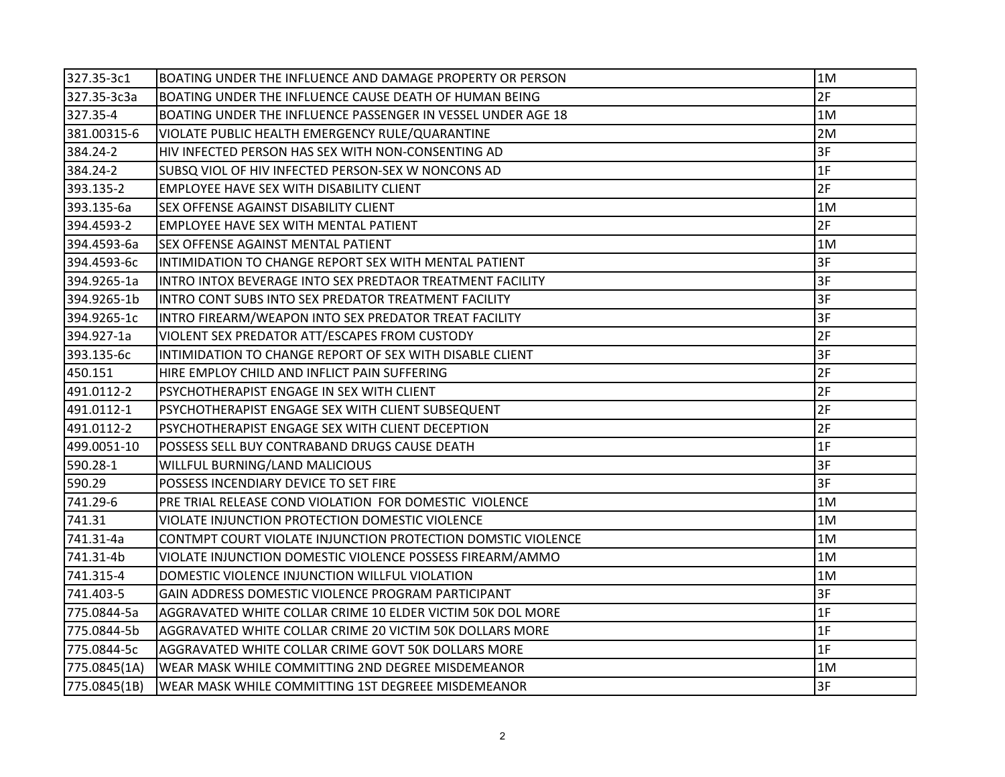| 327.35-3c1   | BOATING UNDER THE INFLUENCE AND DAMAGE PROPERTY OR PERSON    | 1M |
|--------------|--------------------------------------------------------------|----|
| 327.35-3c3a  | BOATING UNDER THE INFLUENCE CAUSE DEATH OF HUMAN BEING       | 2F |
| 327.35-4     | BOATING UNDER THE INFLUENCE PASSENGER IN VESSEL UNDER AGE 18 | 1M |
| 381.00315-6  | VIOLATE PUBLIC HEALTH EMERGENCY RULE/QUARANTINE              | 2M |
| 384.24-2     | HIV INFECTED PERSON HAS SEX WITH NON-CONSENTING AD           | 3F |
| 384.24-2     | SUBSQ VIOL OF HIV INFECTED PERSON-SEX W NONCONS AD           | 1F |
| 393.135-2    | <b>EMPLOYEE HAVE SEX WITH DISABILITY CLIENT</b>              | 2F |
| 393.135-6a   | <b>SEX OFFENSE AGAINST DISABILITY CLIENT</b>                 | 1M |
| 394.4593-2   | <b>EMPLOYEE HAVE SEX WITH MENTAL PATIENT</b>                 | 2F |
| 394.4593-6a  | <b>SEX OFFENSE AGAINST MENTAL PATIENT</b>                    | 1M |
| 394.4593-6c  | INTIMIDATION TO CHANGE REPORT SEX WITH MENTAL PATIENT        | 3F |
| 394.9265-1a  | INTRO INTOX BEVERAGE INTO SEX PREDTAOR TREATMENT FACILITY    | 3F |
| 394.9265-1b  | INTRO CONT SUBS INTO SEX PREDATOR TREATMENT FACILITY         | 3F |
| 394.9265-1c  | INTRO FIREARM/WEAPON INTO SEX PREDATOR TREAT FACILITY        | 3F |
| 394.927-1a   | VIOLENT SEX PREDATOR ATT/ESCAPES FROM CUSTODY                | 2F |
| 393.135-6c   | INTIMIDATION TO CHANGE REPORT OF SEX WITH DISABLE CLIENT     | 3F |
| 450.151      | HIRE EMPLOY CHILD AND INFLICT PAIN SUFFERING                 | 2F |
| 491.0112-2   | PSYCHOTHERAPIST ENGAGE IN SEX WITH CLIENT                    | 2F |
| 491.0112-1   | PSYCHOTHERAPIST ENGAGE SEX WITH CLIENT SUBSEQUENT            | 2F |
| 491.0112-2   | PSYCHOTHERAPIST ENGAGE SEX WITH CLIENT DECEPTION             | 2F |
| 499.0051-10  | POSSESS SELL BUY CONTRABAND DRUGS CAUSE DEATH                | 1F |
| 590.28-1     | WILLFUL BURNING/LAND MALICIOUS                               | 3F |
| 590.29       | POSSESS INCENDIARY DEVICE TO SET FIRE                        | 3F |
| 741.29-6     | PRE TRIAL RELEASE COND VIOLATION FOR DOMESTIC VIOLENCE       | 1M |
| 741.31       | VIOLATE INJUNCTION PROTECTION DOMESTIC VIOLENCE              | 1M |
| 741.31-4a    | CONTMPT COURT VIOLATE INJUNCTION PROTECTION DOMSTIC VIOLENCE | 1M |
| 741.31-4b    | VIOLATE INJUNCTION DOMESTIC VIOLENCE POSSESS FIREARM/AMMO    | 1M |
| 741.315-4    | DOMESTIC VIOLENCE INJUNCTION WILLFUL VIOLATION               | 1M |
| 741.403-5    | GAIN ADDRESS DOMESTIC VIOLENCE PROGRAM PARTICIPANT           | 3F |
| 775.0844-5a  | AGGRAVATED WHITE COLLAR CRIME 10 ELDER VICTIM 50K DOL MORE   | 1F |
| 775.0844-5b  | AGGRAVATED WHITE COLLAR CRIME 20 VICTIM 50K DOLLARS MORE     | 1F |
| 775.0844-5c  | AGGRAVATED WHITE COLLAR CRIME GOVT 50K DOLLARS MORE          | 1F |
| 775.0845(1A) | WEAR MASK WHILE COMMITTING 2ND DEGREE MISDEMEANOR            | 1M |
| 775.0845(1B) | WEAR MASK WHILE COMMITTING 1ST DEGREEE MISDEMEANOR           | 3F |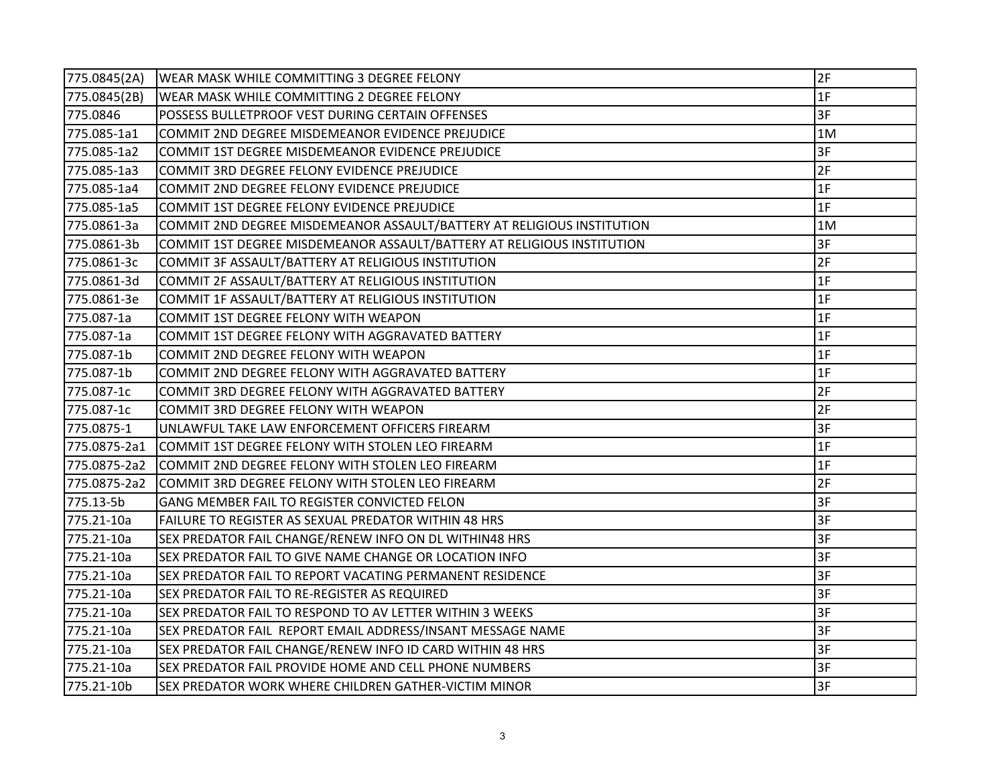| 775.0845(2A) | WEAR MASK WHILE COMMITTING 3 DEGREE FELONY                             | 2F |
|--------------|------------------------------------------------------------------------|----|
| 775.0845(2B) | WEAR MASK WHILE COMMITTING 2 DEGREE FELONY                             | 1F |
| 775.0846     | POSSESS BULLETPROOF VEST DURING CERTAIN OFFENSES                       | 3F |
| 775.085-1a1  | COMMIT 2ND DEGREE MISDEMEANOR EVIDENCE PREJUDICE                       | 1M |
| 775.085-1a2  | COMMIT 1ST DEGREE MISDEMEANOR EVIDENCE PREJUDICE                       | 3F |
| 775.085-1a3  | COMMIT 3RD DEGREE FELONY EVIDENCE PREJUDICE                            | 2F |
| 775.085-1a4  | COMMIT 2ND DEGREE FELONY EVIDENCE PREJUDICE                            | 1F |
| 775.085-1a5  | COMMIT 1ST DEGREE FELONY EVIDENCE PREJUDICE                            | 1F |
| 775.0861-3a  | COMMIT 2ND DEGREE MISDEMEANOR ASSAULT/BATTERY AT RELIGIOUS INSTITUTION | 1M |
| 775.0861-3b  | COMMIT 1ST DEGREE MISDEMEANOR ASSAULT/BATTERY AT RELIGIOUS INSTITUTION | 3F |
| 775.0861-3c  | COMMIT 3F ASSAULT/BATTERY AT RELIGIOUS INSTITUTION                     | 2F |
| 775.0861-3d  | COMMIT 2F ASSAULT/BATTERY AT RELIGIOUS INSTITUTION                     | 1F |
| 775.0861-3e  | COMMIT 1F ASSAULT/BATTERY AT RELIGIOUS INSTITUTION                     | 1F |
| 775.087-1a   | COMMIT 1ST DEGREE FELONY WITH WEAPON                                   | 1F |
| 775.087-1a   | COMMIT 1ST DEGREE FELONY WITH AGGRAVATED BATTERY                       | 1F |
| 775.087-1b   | COMMIT 2ND DEGREE FELONY WITH WEAPON                                   | 1F |
| 775.087-1b   | COMMIT 2ND DEGREE FELONY WITH AGGRAVATED BATTERY                       | 1F |
| 775.087-1c   | COMMIT 3RD DEGREE FELONY WITH AGGRAVATED BATTERY                       | 2F |
| 775.087-1c   | COMMIT 3RD DEGREE FELONY WITH WEAPON                                   | 2F |
| 775.0875-1   | UNLAWFUL TAKE LAW ENFORCEMENT OFFICERS FIREARM                         | 3F |
| 775.0875-2a1 | COMMIT 1ST DEGREE FELONY WITH STOLEN LEO FIREARM                       | 1F |
| 775.0875-2a2 | COMMIT 2ND DEGREE FELONY WITH STOLEN LEO FIREARM                       | 1F |
| 775.0875-2a2 | COMMIT 3RD DEGREE FELONY WITH STOLEN LEO FIREARM                       | 2F |
| 775.13-5b    | GANG MEMBER FAIL TO REGISTER CONVICTED FELON                           | 3F |
| 775.21-10a   | FAILURE TO REGISTER AS SEXUAL PREDATOR WITHIN 48 HRS                   | 3F |
| 775.21-10a   | SEX PREDATOR FAIL CHANGE/RENEW INFO ON DL WITHIN48 HRS                 | 3F |
| 775.21-10a   | SEX PREDATOR FAIL TO GIVE NAME CHANGE OR LOCATION INFO                 | 3F |
| 775.21-10a   | SEX PREDATOR FAIL TO REPORT VACATING PERMANENT RESIDENCE               | 3F |
| 775.21-10a   | SEX PREDATOR FAIL TO RE-REGISTER AS REQUIRED                           | 3F |
| 775.21-10a   | SEX PREDATOR FAIL TO RESPOND TO AV LETTER WITHIN 3 WEEKS               | 3F |
| 775.21-10a   | SEX PREDATOR FAIL REPORT EMAIL ADDRESS/INSANT MESSAGE NAME             | 3F |
| 775.21-10a   | SEX PREDATOR FAIL CHANGE/RENEW INFO ID CARD WITHIN 48 HRS              | 3F |
| 775.21-10a   | SEX PREDATOR FAIL PROVIDE HOME AND CELL PHONE NUMBERS                  | 3F |
| 775.21-10b   | SEX PREDATOR WORK WHERE CHILDREN GATHER-VICTIM MINOR                   | 3F |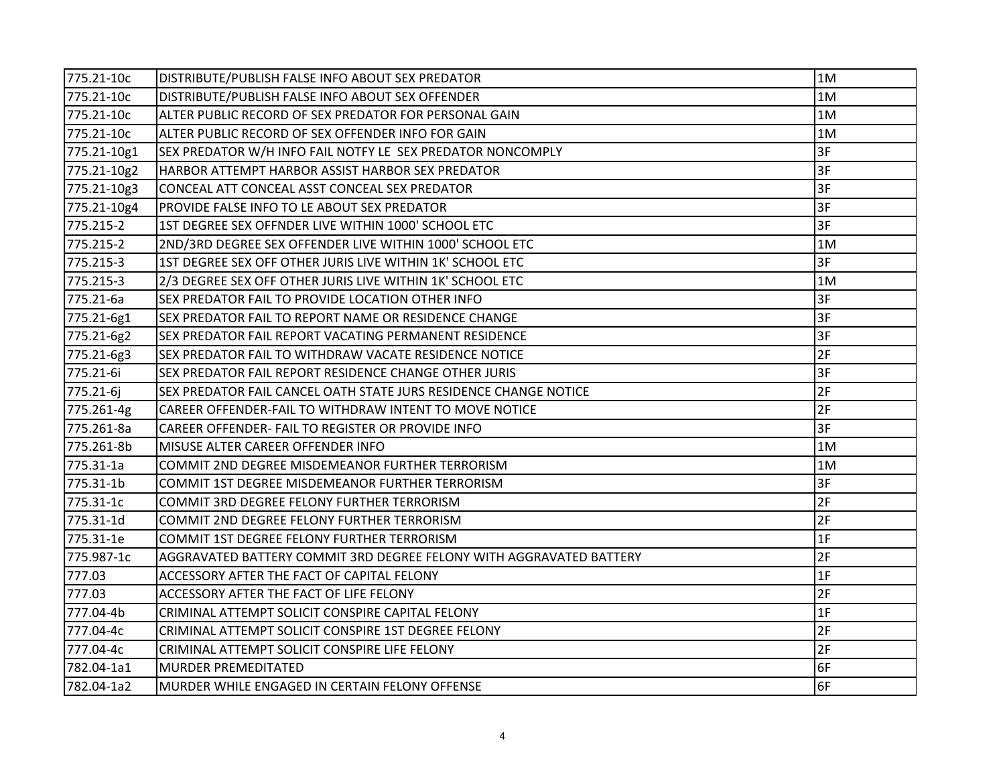| 775.21-10c  | DISTRIBUTE/PUBLISH FALSE INFO ABOUT SEX PREDATOR                    | 1M |
|-------------|---------------------------------------------------------------------|----|
| 775.21-10c  | DISTRIBUTE/PUBLISH FALSE INFO ABOUT SEX OFFENDER                    | 1M |
| 775.21-10c  | ALTER PUBLIC RECORD OF SEX PREDATOR FOR PERSONAL GAIN               | 1M |
| 775.21-10c  | ALTER PUBLIC RECORD OF SEX OFFENDER INFO FOR GAIN                   | 1M |
| 775.21-10g1 | SEX PREDATOR W/H INFO FAIL NOTFY LE SEX PREDATOR NONCOMPLY          | 3F |
| 775.21-10g2 | HARBOR ATTEMPT HARBOR ASSIST HARBOR SEX PREDATOR                    | 3F |
| 775.21-10g3 | CONCEAL ATT CONCEAL ASST CONCEAL SEX PREDATOR                       | 3F |
| 775.21-10g4 | PROVIDE FALSE INFO TO LE ABOUT SEX PREDATOR                         | 3F |
| 775.215-2   | 1ST DEGREE SEX OFFNDER LIVE WITHIN 1000' SCHOOL ETC                 | 3F |
| 775.215-2   | 2ND/3RD DEGREE SEX OFFENDER LIVE WITHIN 1000' SCHOOL ETC            | 1M |
| 775.215-3   | 1ST DEGREE SEX OFF OTHER JURIS LIVE WITHIN 1K' SCHOOL ETC           | 3F |
| 775.215-3   | 2/3 DEGREE SEX OFF OTHER JURIS LIVE WITHIN 1K' SCHOOL ETC           | 1M |
| 775.21-6a   | SEX PREDATOR FAIL TO PROVIDE LOCATION OTHER INFO                    | 3F |
| 775.21-6g1  | SEX PREDATOR FAIL TO REPORT NAME OR RESIDENCE CHANGE                | 3F |
| 775.21-6g2  | SEX PREDATOR FAIL REPORT VACATING PERMANENT RESIDENCE               | 3F |
| 775.21-6g3  | SEX PREDATOR FAIL TO WITHDRAW VACATE RESIDENCE NOTICE               | 2F |
| 775.21-6i   | SEX PREDATOR FAIL REPORT RESIDENCE CHANGE OTHER JURIS               | 3F |
| 775.21-6j   | SEX PREDATOR FAIL CANCEL OATH STATE JURS RESIDENCE CHANGE NOTICE    | 2F |
| 775.261-4g  | CAREER OFFENDER-FAIL TO WITHDRAW INTENT TO MOVE NOTICE              | 2F |
| 775.261-8a  | CAREER OFFENDER- FAIL TO REGISTER OR PROVIDE INFO                   | 3F |
| 775.261-8b  | MISUSE ALTER CAREER OFFENDER INFO                                   | 1M |
| 775.31-1a   | COMMIT 2ND DEGREE MISDEMEANOR FURTHER TERRORISM                     | 1M |
| 775.31-1b   | COMMIT 1ST DEGREE MISDEMEANOR FURTHER TERRORISM                     | 3F |
| 775.31-1c   | COMMIT 3RD DEGREE FELONY FURTHER TERRORISM                          | 2F |
| 775.31-1d   | COMMIT 2ND DEGREE FELONY FURTHER TERRORISM                          | 2F |
| 775.31-1e   | COMMIT 1ST DEGREE FELONY FURTHER TERRORISM                          | 1F |
| 775.987-1c  | AGGRAVATED BATTERY COMMIT 3RD DEGREE FELONY WITH AGGRAVATED BATTERY | 2F |
| 777.03      | ACCESSORY AFTER THE FACT OF CAPITAL FELONY                          | 1F |
| 777.03      | ACCESSORY AFTER THE FACT OF LIFE FELONY                             | 2F |
| 777.04-4b   | CRIMINAL ATTEMPT SOLICIT CONSPIRE CAPITAL FELONY                    | 1F |
| 777.04-4c   | CRIMINAL ATTEMPT SOLICIT CONSPIRE 1ST DEGREE FELONY                 | 2F |
| 777.04-4c   | CRIMINAL ATTEMPT SOLICIT CONSPIRE LIFE FELONY                       | 2F |
| 782.04-1a1  | <b>MURDER PREMEDITATED</b>                                          | 6F |
| 782.04-1a2  | MURDER WHILE ENGAGED IN CERTAIN FELONY OFFENSE                      | 6F |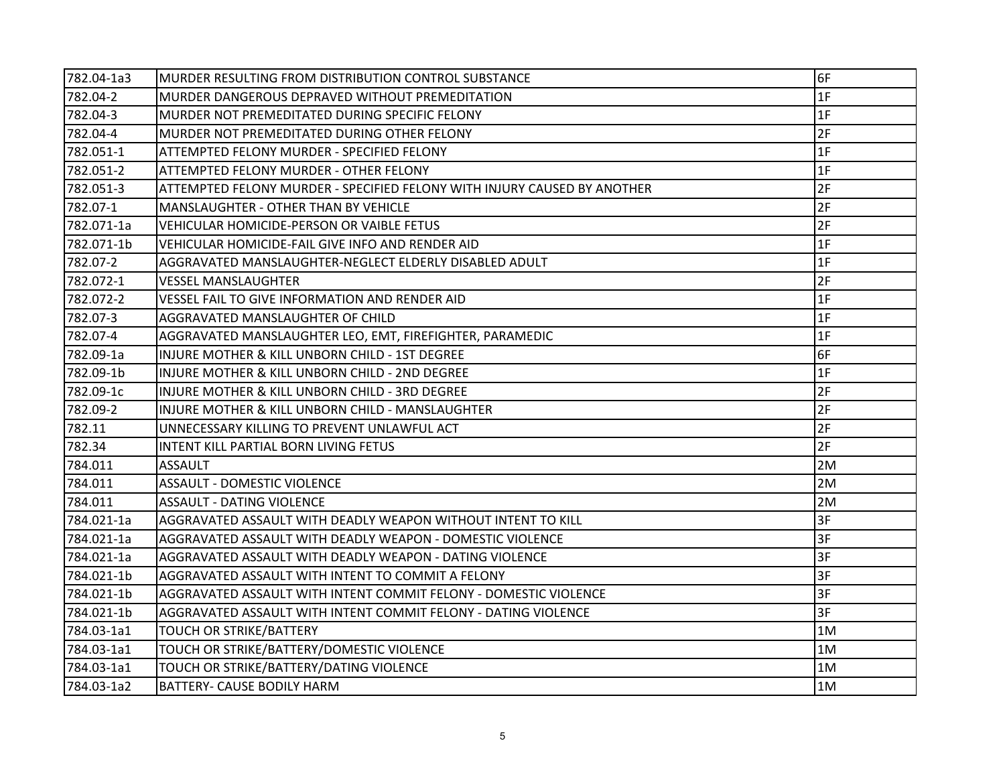| 782.04-1a3 | MURDER RESULTING FROM DISTRIBUTION CONTROL SUBSTANCE                     | 6F |
|------------|--------------------------------------------------------------------------|----|
| 782.04-2   | MURDER DANGEROUS DEPRAVED WITHOUT PREMEDITATION                          | 1F |
| 782.04-3   | MURDER NOT PREMEDITATED DURING SPECIFIC FELONY                           | 1F |
| 782.04-4   | MURDER NOT PREMEDITATED DURING OTHER FELONY                              | 2F |
| 782.051-1  | ATTEMPTED FELONY MURDER - SPECIFIED FELONY                               | 1F |
| 782.051-2  | ATTEMPTED FELONY MURDER - OTHER FELONY                                   | 1F |
| 782.051-3  | ATTEMPTED FELONY MURDER - SPECIFIED FELONY WITH INJURY CAUSED BY ANOTHER | 2F |
| 782.07-1   | MANSLAUGHTER - OTHER THAN BY VEHICLE                                     | 2F |
| 782.071-1a | VEHICULAR HOMICIDE-PERSON OR VAIBLE FETUS                                | 2F |
| 782.071-1b | VEHICULAR HOMICIDE-FAIL GIVE INFO AND RENDER AID                         | 1F |
| 782.07-2   | AGGRAVATED MANSLAUGHTER-NEGLECT ELDERLY DISABLED ADULT                   | 1F |
| 782.072-1  | VESSEL MANSLAUGHTER                                                      | 2F |
| 782.072-2  | VESSEL FAIL TO GIVE INFORMATION AND RENDER AID                           | 1F |
| 782.07-3   | AGGRAVATED MANSLAUGHTER OF CHILD                                         | 1F |
| 782.07-4   | AGGRAVATED MANSLAUGHTER LEO, EMT, FIREFIGHTER, PARAMEDIC                 | 1F |
| 782.09-1a  | INJURE MOTHER & KILL UNBORN CHILD - 1ST DEGREE                           | 6F |
| 782.09-1b  | INJURE MOTHER & KILL UNBORN CHILD - 2ND DEGREE                           | 1F |
| 782.09-1c  | INJURE MOTHER & KILL UNBORN CHILD - 3RD DEGREE                           | 2F |
| 782.09-2   | INJURE MOTHER & KILL UNBORN CHILD - MANSLAUGHTER                         | 2F |
| 782.11     | UNNECESSARY KILLING TO PREVENT UNLAWFUL ACT                              | 2F |
| 782.34     | INTENT KILL PARTIAL BORN LIVING FETUS                                    | 2F |
| 784.011    | <b>ASSAULT</b>                                                           | 2M |
| 784.011    | <b>ASSAULT - DOMESTIC VIOLENCE</b>                                       | 2M |
| 784.011    | <b>ASSAULT - DATING VIOLENCE</b>                                         | 2M |
| 784.021-1a | AGGRAVATED ASSAULT WITH DEADLY WEAPON WITHOUT INTENT TO KILL             | 3F |
| 784.021-1a | AGGRAVATED ASSAULT WITH DEADLY WEAPON - DOMESTIC VIOLENCE                | 3F |
| 784.021-1a | AGGRAVATED ASSAULT WITH DEADLY WEAPON - DATING VIOLENCE                  | 3F |
| 784.021-1b | AGGRAVATED ASSAULT WITH INTENT TO COMMIT A FELONY                        | 3F |
| 784.021-1b | AGGRAVATED ASSAULT WITH INTENT COMMIT FELONY - DOMESTIC VIOLENCE         | 3F |
| 784.021-1b | AGGRAVATED ASSAULT WITH INTENT COMMIT FELONY - DATING VIOLENCE           | 3F |
| 784.03-1a1 | <b>TOUCH OR STRIKE/BATTERY</b>                                           | 1M |
| 784.03-1a1 | TOUCH OR STRIKE/BATTERY/DOMESTIC VIOLENCE                                | 1M |
| 784.03-1a1 | TOUCH OR STRIKE/BATTERY/DATING VIOLENCE                                  | 1M |
| 784.03-1a2 | BATTERY- CAUSE BODILY HARM                                               | 1M |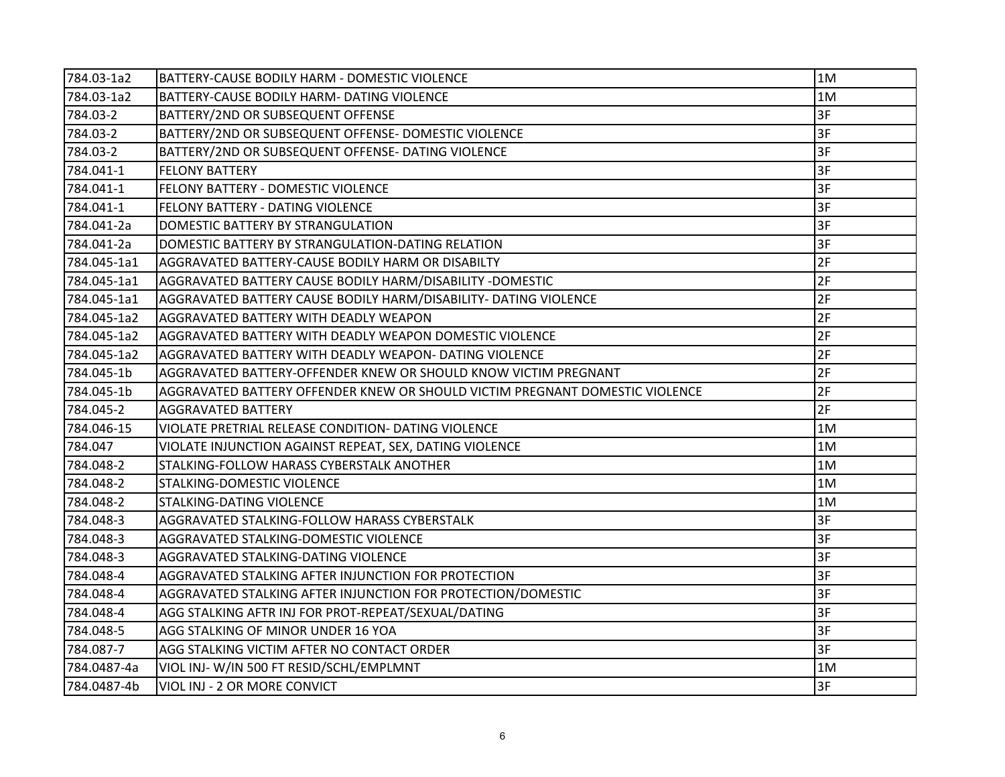| 784.03-1a2  | BATTERY-CAUSE BODILY HARM - DOMESTIC VIOLENCE                                | 1M |
|-------------|------------------------------------------------------------------------------|----|
| 784.03-1a2  | BATTERY-CAUSE BODILY HARM- DATING VIOLENCE                                   | 1M |
| 784.03-2    | BATTERY/2ND OR SUBSEQUENT OFFENSE                                            | 3F |
| 784.03-2    | BATTERY/2ND OR SUBSEQUENT OFFENSE- DOMESTIC VIOLENCE                         | 3F |
| 784.03-2    | BATTERY/2ND OR SUBSEQUENT OFFENSE- DATING VIOLENCE                           | 3F |
| 784.041-1   | <b>FELONY BATTERY</b>                                                        | 3F |
| 784.041-1   | FELONY BATTERY - DOMESTIC VIOLENCE                                           | 3F |
| 784.041-1   | FELONY BATTERY - DATING VIOLENCE                                             | 3F |
| 784.041-2a  | DOMESTIC BATTERY BY STRANGULATION                                            | 3F |
| 784.041-2a  | DOMESTIC BATTERY BY STRANGULATION-DATING RELATION                            | 3F |
| 784.045-1a1 | AGGRAVATED BATTERY-CAUSE BODILY HARM OR DISABILTY                            | 2F |
| 784.045-1a1 | AGGRAVATED BATTERY CAUSE BODILY HARM/DISABILITY -DOMESTIC                    | 2F |
| 784.045-1a1 | AGGRAVATED BATTERY CAUSE BODILY HARM/DISABILITY- DATING VIOLENCE             | 2F |
| 784.045-1a2 | AGGRAVATED BATTERY WITH DEADLY WEAPON                                        | 2F |
| 784.045-1a2 | AGGRAVATED BATTERY WITH DEADLY WEAPON DOMESTIC VIOLENCE                      | 2F |
| 784.045-1a2 | AGGRAVATED BATTERY WITH DEADLY WEAPON- DATING VIOLENCE                       | 2F |
| 784.045-1b  | AGGRAVATED BATTERY-OFFENDER KNEW OR SHOULD KNOW VICTIM PREGNANT              | 2F |
| 784.045-1b  | AGGRAVATED BATTERY OFFENDER KNEW OR SHOULD VICTIM PREGNANT DOMESTIC VIOLENCE | 2F |
| 784.045-2   | <b>AGGRAVATED BATTERY</b>                                                    | 2F |
| 784.046-15  | VIOLATE PRETRIAL RELEASE CONDITION- DATING VIOLENCE                          | 1M |
| 784.047     | VIOLATE INJUNCTION AGAINST REPEAT, SEX, DATING VIOLENCE                      | 1M |
| 784.048-2   | STALKING-FOLLOW HARASS CYBERSTALK ANOTHER                                    | 1M |
| 784.048-2   | <b>STALKING-DOMESTIC VIOLENCE</b>                                            | 1M |
| 784.048-2   | <b>STALKING-DATING VIOLENCE</b>                                              | 1M |
| 784.048-3   | AGGRAVATED STALKING-FOLLOW HARASS CYBERSTALK                                 | 3F |
| 784.048-3   | AGGRAVATED STALKING-DOMESTIC VIOLENCE                                        | 3F |
| 784.048-3   | AGGRAVATED STALKING-DATING VIOLENCE                                          | 3F |
| 784.048-4   | AGGRAVATED STALKING AFTER INJUNCTION FOR PROTECTION                          | 3F |
| 784.048-4   | AGGRAVATED STALKING AFTER INJUNCTION FOR PROTECTION/DOMESTIC                 | 3F |
| 784.048-4   | AGG STALKING AFTR INJ FOR PROT-REPEAT/SEXUAL/DATING                          | 3F |
| 784.048-5   | AGG STALKING OF MINOR UNDER 16 YOA                                           | 3F |
| 784.087-7   | AGG STALKING VICTIM AFTER NO CONTACT ORDER                                   | 3F |
| 784.0487-4a | VIOL INJ-W/IN 500 FT RESID/SCHL/EMPLMNT                                      | 1M |
| 784.0487-4b | VIOL INJ - 2 OR MORE CONVICT                                                 | 3F |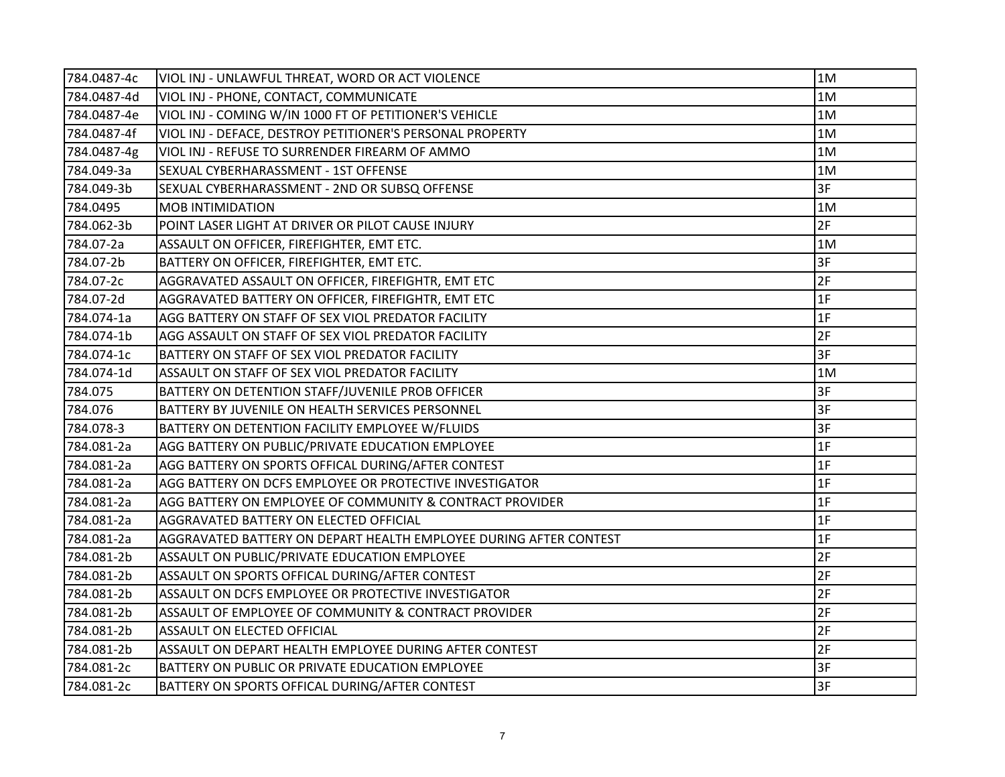| 784.0487-4c | VIOL INJ - UNLAWFUL THREAT, WORD OR ACT VIOLENCE                  | 1M |
|-------------|-------------------------------------------------------------------|----|
| 784.0487-4d | VIOL INJ - PHONE, CONTACT, COMMUNICATE                            | 1M |
| 784.0487-4e | VIOL INJ - COMING W/IN 1000 FT OF PETITIONER'S VEHICLE            | 1M |
| 784.0487-4f | VIOL INJ - DEFACE, DESTROY PETITIONER'S PERSONAL PROPERTY         | 1M |
| 784.0487-4g | VIOL INJ - REFUSE TO SURRENDER FIREARM OF AMMO                    | 1M |
| 784.049-3a  | SEXUAL CYBERHARASSMENT - 1ST OFFENSE                              | 1M |
| 784.049-3b  | SEXUAL CYBERHARASSMENT - 2ND OR SUBSQ OFFENSE                     | 3F |
| 784.0495    | <b>MOB INTIMIDATION</b>                                           | 1M |
| 784.062-3b  | POINT LASER LIGHT AT DRIVER OR PILOT CAUSE INJURY                 | 2F |
| 784.07-2a   | ASSAULT ON OFFICER, FIREFIGHTER, EMT ETC.                         | 1M |
| 784.07-2b   | BATTERY ON OFFICER, FIREFIGHTER, EMT ETC.                         | 3F |
| 784.07-2c   | AGGRAVATED ASSAULT ON OFFICER, FIREFIGHTR, EMT ETC                | 2F |
| 784.07-2d   | AGGRAVATED BATTERY ON OFFICER, FIREFIGHTR, EMT ETC                | 1F |
| 784.074-1a  | AGG BATTERY ON STAFF OF SEX VIOL PREDATOR FACILITY                | 1F |
| 784.074-1b  | AGG ASSAULT ON STAFF OF SEX VIOL PREDATOR FACILITY                | 2F |
| 784.074-1c  | BATTERY ON STAFF OF SEX VIOL PREDATOR FACILITY                    | 3F |
| 784.074-1d  | ASSAULT ON STAFF OF SEX VIOL PREDATOR FACILITY                    | 1M |
| 784.075     | BATTERY ON DETENTION STAFF/JUVENILE PROB OFFICER                  | 3F |
| 784.076     | BATTERY BY JUVENILE ON HEALTH SERVICES PERSONNEL                  | 3F |
| 784.078-3   | BATTERY ON DETENTION FACILITY EMPLOYEE W/FLUIDS                   | 3F |
| 784.081-2a  | AGG BATTERY ON PUBLIC/PRIVATE EDUCATION EMPLOYEE                  | 1F |
| 784.081-2a  | AGG BATTERY ON SPORTS OFFICAL DURING/AFTER CONTEST                | 1F |
| 784.081-2a  | AGG BATTERY ON DCFS EMPLOYEE OR PROTECTIVE INVESTIGATOR           | 1F |
| 784.081-2a  | AGG BATTERY ON EMPLOYEE OF COMMUNITY & CONTRACT PROVIDER          | 1F |
| 784.081-2a  | AGGRAVATED BATTERY ON ELECTED OFFICIAL                            | 1F |
| 784.081-2a  | AGGRAVATED BATTERY ON DEPART HEALTH EMPLOYEE DURING AFTER CONTEST | 1F |
| 784.081-2b  | ASSAULT ON PUBLIC/PRIVATE EDUCATION EMPLOYEE                      | 2F |
| 784.081-2b  | ASSAULT ON SPORTS OFFICAL DURING/AFTER CONTEST                    | 2F |
| 784.081-2b  | ASSAULT ON DCFS EMPLOYEE OR PROTECTIVE INVESTIGATOR               | 2F |
| 784.081-2b  | ASSAULT OF EMPLOYEE OF COMMUNITY & CONTRACT PROVIDER              | 2F |
| 784.081-2b  | ASSAULT ON ELECTED OFFICIAL                                       | 2F |
| 784.081-2b  | ASSAULT ON DEPART HEALTH EMPLOYEE DURING AFTER CONTEST            | 2F |
| 784.081-2c  | BATTERY ON PUBLIC OR PRIVATE EDUCATION EMPLOYEE                   | 3F |
| 784.081-2c  | BATTERY ON SPORTS OFFICAL DURING/AFTER CONTEST                    | 3F |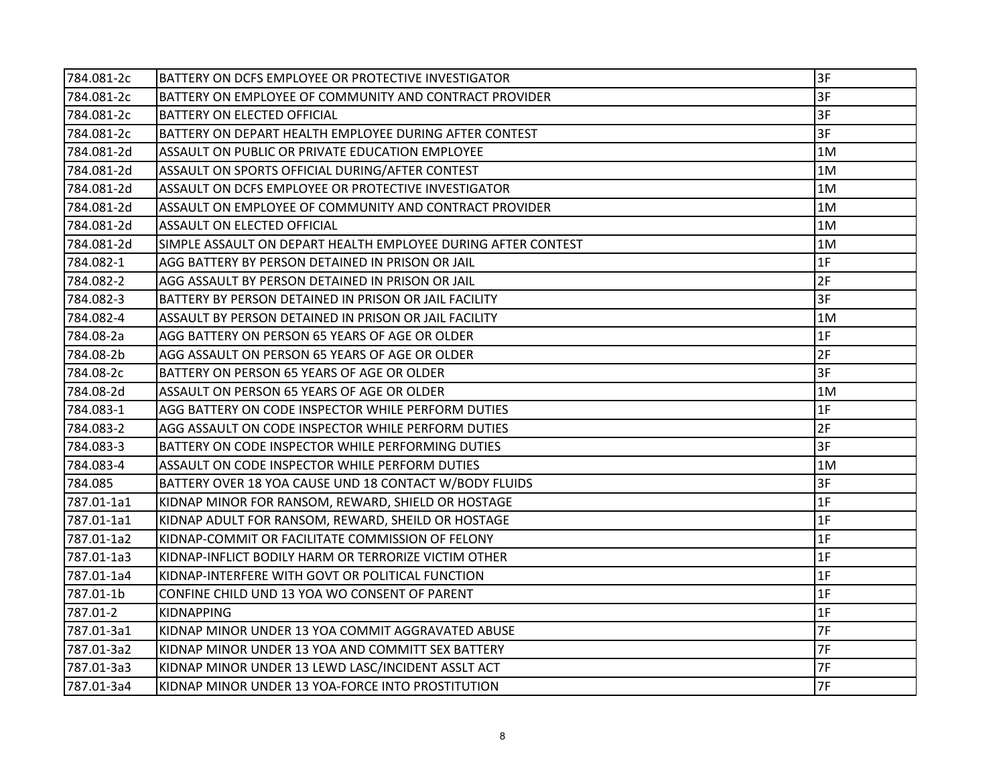| 784.081-2c | BATTERY ON DCFS EMPLOYEE OR PROTECTIVE INVESTIGATOR           | 3F             |
|------------|---------------------------------------------------------------|----------------|
| 784.081-2c | BATTERY ON EMPLOYEE OF COMMUNITY AND CONTRACT PROVIDER        | 3F             |
| 784.081-2c | <b>BATTERY ON ELECTED OFFICIAL</b>                            | 3F             |
| 784.081-2c | BATTERY ON DEPART HEALTH EMPLOYEE DURING AFTER CONTEST        | 3F             |
| 784.081-2d | ASSAULT ON PUBLIC OR PRIVATE EDUCATION EMPLOYEE               | 1M             |
| 784.081-2d | ASSAULT ON SPORTS OFFICIAL DURING/AFTER CONTEST               | 1M             |
| 784.081-2d | ASSAULT ON DCFS EMPLOYEE OR PROTECTIVE INVESTIGATOR           | 1M             |
| 784.081-2d | ASSAULT ON EMPLOYEE OF COMMUNITY AND CONTRACT PROVIDER        | 1M             |
| 784.081-2d | <b>ASSAULT ON ELECTED OFFICIAL</b>                            | 1M             |
| 784.081-2d | SIMPLE ASSAULT ON DEPART HEALTH EMPLOYEE DURING AFTER CONTEST | 1M             |
| 784.082-1  | AGG BATTERY BY PERSON DETAINED IN PRISON OR JAIL              | 1 <sub>F</sub> |
| 784.082-2  | AGG ASSAULT BY PERSON DETAINED IN PRISON OR JAIL              | 2F             |
| 784.082-3  | BATTERY BY PERSON DETAINED IN PRISON OR JAIL FACILITY         | 3F             |
| 784.082-4  | ASSAULT BY PERSON DETAINED IN PRISON OR JAIL FACILITY         | 1M             |
| 784.08-2a  | AGG BATTERY ON PERSON 65 YEARS OF AGE OR OLDER                | 1F             |
| 784.08-2b  | AGG ASSAULT ON PERSON 65 YEARS OF AGE OR OLDER                | 2F             |
| 784.08-2c  | BATTERY ON PERSON 65 YEARS OF AGE OR OLDER                    | 3F             |
| 784.08-2d  | ASSAULT ON PERSON 65 YEARS OF AGE OR OLDER                    | 1M             |
| 784.083-1  | AGG BATTERY ON CODE INSPECTOR WHILE PERFORM DUTIES            | 1F             |
| 784.083-2  | AGG ASSAULT ON CODE INSPECTOR WHILE PERFORM DUTIES            | 2F             |
| 784.083-3  | BATTERY ON CODE INSPECTOR WHILE PERFORMING DUTIES             | 3F             |
| 784.083-4  | ASSAULT ON CODE INSPECTOR WHILE PERFORM DUTIES                | 1M             |
| 784.085    | BATTERY OVER 18 YOA CAUSE UND 18 CONTACT W/BODY FLUIDS        | 3F             |
| 787.01-1a1 | KIDNAP MINOR FOR RANSOM, REWARD, SHIELD OR HOSTAGE            | 1F             |
| 787.01-1a1 | KIDNAP ADULT FOR RANSOM, REWARD, SHEILD OR HOSTAGE            | 1F             |
| 787.01-1a2 | KIDNAP-COMMIT OR FACILITATE COMMISSION OF FELONY              | 1F             |
| 787.01-1a3 | KIDNAP-INFLICT BODILY HARM OR TERRORIZE VICTIM OTHER          | 1F             |
| 787.01-1a4 | KIDNAP-INTERFERE WITH GOVT OR POLITICAL FUNCTION              | 1F             |
| 787.01-1b  | CONFINE CHILD UND 13 YOA WO CONSENT OF PARENT                 | 1F             |
| 787.01-2   | <b>KIDNAPPING</b>                                             | 1F             |
| 787.01-3a1 | KIDNAP MINOR UNDER 13 YOA COMMIT AGGRAVATED ABUSE             | 7F             |
| 787.01-3a2 | KIDNAP MINOR UNDER 13 YOA AND COMMITT SEX BATTERY             | 7F             |
| 787.01-3a3 | KIDNAP MINOR UNDER 13 LEWD LASC/INCIDENT ASSLT ACT            | 7F             |
| 787.01-3a4 | KIDNAP MINOR UNDER 13 YOA-FORCE INTO PROSTITUTION             | 7F             |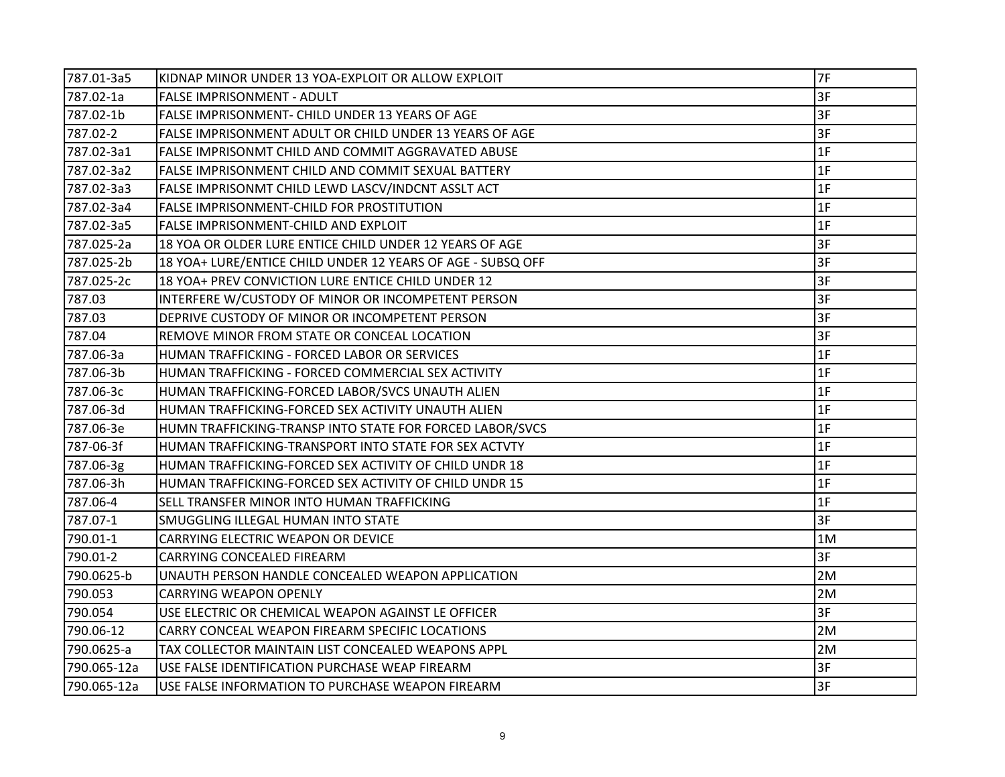| 787.01-3a5  | KIDNAP MINOR UNDER 13 YOA-EXPLOIT OR ALLOW EXPLOIT          | 7F |
|-------------|-------------------------------------------------------------|----|
| 787.02-1a   | <b>FALSE IMPRISONMENT - ADULT</b>                           | 3F |
| 787.02-1b   | FALSE IMPRISONMENT- CHILD UNDER 13 YEARS OF AGE             | 3F |
| 787.02-2    | FALSE IMPRISONMENT ADULT OR CHILD UNDER 13 YEARS OF AGE     | 3F |
| 787.02-3a1  | FALSE IMPRISONMT CHILD AND COMMIT AGGRAVATED ABUSE          | 1F |
| 787.02-3a2  | FALSE IMPRISONMENT CHILD AND COMMIT SEXUAL BATTERY          | 1F |
| 787.02-3a3  | FALSE IMPRISONMT CHILD LEWD LASCV/INDCNT ASSLT ACT          | 1F |
| 787.02-3a4  | <b>FALSE IMPRISONMENT-CHILD FOR PROSTITUTION</b>            | 1F |
| 787.02-3a5  | FALSE IMPRISONMENT-CHILD AND EXPLOIT                        | 1F |
| 787.025-2a  | 18 YOA OR OLDER LURE ENTICE CHILD UNDER 12 YEARS OF AGE     | 3F |
| 787.025-2b  | 18 YOA+ LURE/ENTICE CHILD UNDER 12 YEARS OF AGE - SUBSQ OFF | 3F |
| 787.025-2c  | 18 YOA+ PREV CONVICTION LURE ENTICE CHILD UNDER 12          | 3F |
| 787.03      | INTERFERE W/CUSTODY OF MINOR OR INCOMPETENT PERSON          | 3F |
| 787.03      | DEPRIVE CUSTODY OF MINOR OR INCOMPETENT PERSON              | 3F |
| 787.04      | REMOVE MINOR FROM STATE OR CONCEAL LOCATION                 | 3F |
| 787.06-3a   | HUMAN TRAFFICKING - FORCED LABOR OR SERVICES                | 1F |
| 787.06-3b   | HUMAN TRAFFICKING - FORCED COMMERCIAL SEX ACTIVITY          | 1F |
| 787.06-3c   | HUMAN TRAFFICKING-FORCED LABOR/SVCS UNAUTH ALIEN            | 1F |
| 787.06-3d   | HUMAN TRAFFICKING-FORCED SEX ACTIVITY UNAUTH ALIEN          | 1F |
| 787.06-3e   | HUMN TRAFFICKING-TRANSP INTO STATE FOR FORCED LABOR/SVCS    | 1F |
| 787-06-3f   | HUMAN TRAFFICKING-TRANSPORT INTO STATE FOR SEX ACTVTY       | 1F |
| 787.06-3g   | HUMAN TRAFFICKING-FORCED SEX ACTIVITY OF CHILD UNDR 18      | 1F |
| 787.06-3h   | HUMAN TRAFFICKING-FORCED SEX ACTIVITY OF CHILD UNDR 15      | 1F |
| 787.06-4    | SELL TRANSFER MINOR INTO HUMAN TRAFFICKING                  | 1F |
| 787.07-1    | SMUGGLING ILLEGAL HUMAN INTO STATE                          | 3F |
| 790.01-1    | CARRYING ELECTRIC WEAPON OR DEVICE                          | 1M |
| 790.01-2    | CARRYING CONCEALED FIREARM                                  | 3F |
| 790.0625-b  | UNAUTH PERSON HANDLE CONCEALED WEAPON APPLICATION           | 2M |
| 790.053     | <b>CARRYING WEAPON OPENLY</b>                               | 2M |
| 790.054     | USE ELECTRIC OR CHEMICAL WEAPON AGAINST LE OFFICER          | 3F |
| 790.06-12   | CARRY CONCEAL WEAPON FIREARM SPECIFIC LOCATIONS             | 2M |
| 790.0625-a  | TAX COLLECTOR MAINTAIN LIST CONCEALED WEAPONS APPL          | 2M |
| 790.065-12a | USE FALSE IDENTIFICATION PURCHASE WEAP FIREARM              | 3F |
| 790.065-12a | USE FALSE INFORMATION TO PURCHASE WEAPON FIREARM            | 3F |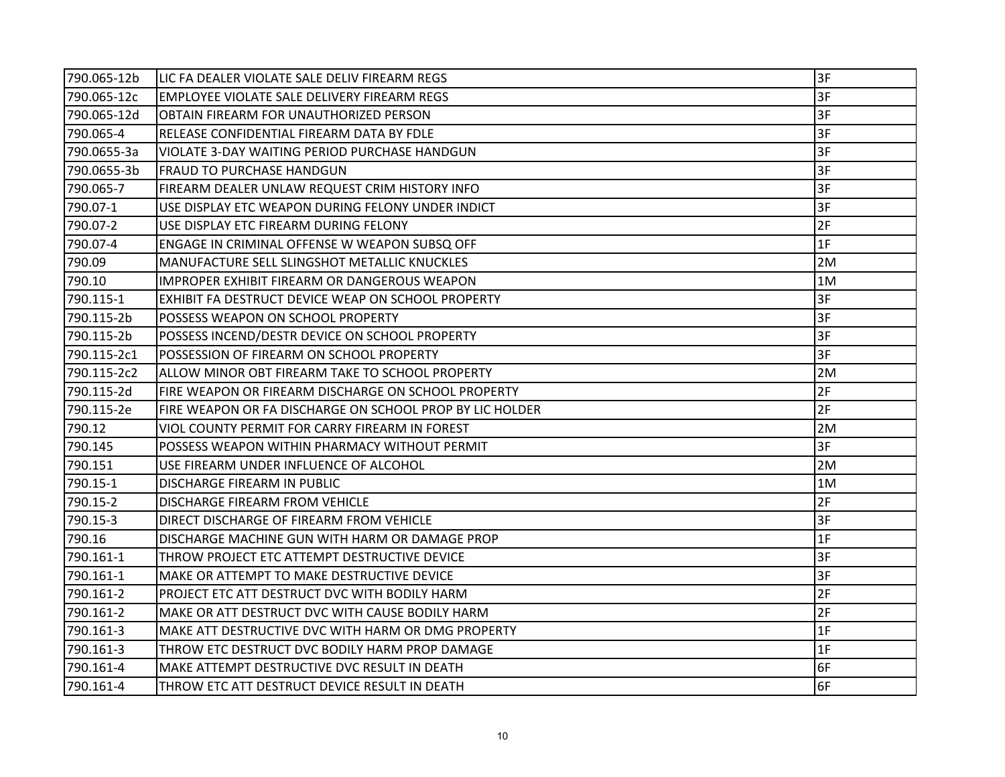| 790.065-12b | LIC FA DEALER VIOLATE SALE DELIV FIREARM REGS            | 3F |
|-------------|----------------------------------------------------------|----|
| 790.065-12c | EMPLOYEE VIOLATE SALE DELIVERY FIREARM REGS              | 3F |
| 790.065-12d | OBTAIN FIREARM FOR UNAUTHORIZED PERSON                   | 3F |
| 790.065-4   | RELEASE CONFIDENTIAL FIREARM DATA BY FDLE                | 3F |
| 790.0655-3a | VIOLATE 3-DAY WAITING PERIOD PURCHASE HANDGUN            | 3F |
| 790.0655-3b | <b>FRAUD TO PURCHASE HANDGUN</b>                         | 3F |
| 790.065-7   | FIREARM DEALER UNLAW REQUEST CRIM HISTORY INFO           | 3F |
| 790.07-1    | USE DISPLAY ETC WEAPON DURING FELONY UNDER INDICT        | 3F |
| 790.07-2    | USE DISPLAY ETC FIREARM DURING FELONY                    | 2F |
| 790.07-4    | <b>ENGAGE IN CRIMINAL OFFENSE W WEAPON SUBSQ OFF</b>     | 1F |
| 790.09      | MANUFACTURE SELL SLINGSHOT METALLIC KNUCKLES             | 2M |
| 790.10      | IMPROPER EXHIBIT FIREARM OR DANGEROUS WEAPON             | 1M |
| 790.115-1   | EXHIBIT FA DESTRUCT DEVICE WEAP ON SCHOOL PROPERTY       | 3F |
| 790.115-2b  | POSSESS WEAPON ON SCHOOL PROPERTY                        | 3F |
| 790.115-2b  | POSSESS INCEND/DESTR DEVICE ON SCHOOL PROPERTY           | 3F |
| 790.115-2c1 | POSSESSION OF FIREARM ON SCHOOL PROPERTY                 | 3F |
| 790.115-2c2 | ALLOW MINOR OBT FIREARM TAKE TO SCHOOL PROPERTY          | 2M |
| 790.115-2d  | FIRE WEAPON OR FIREARM DISCHARGE ON SCHOOL PROPERTY      | 2F |
| 790.115-2e  | FIRE WEAPON OR FA DISCHARGE ON SCHOOL PROP BY LIC HOLDER | 2F |
| 790.12      | VIOL COUNTY PERMIT FOR CARRY FIREARM IN FOREST           | 2M |
| 790.145     | POSSESS WEAPON WITHIN PHARMACY WITHOUT PERMIT            | 3F |
| 790.151     | USE FIREARM UNDER INFLUENCE OF ALCOHOL                   | 2M |
| 790.15-1    | DISCHARGE FIREARM IN PUBLIC                              | 1M |
| 790.15-2    | <b>DISCHARGE FIREARM FROM VEHICLE</b>                    | 2F |
| 790.15-3    | DIRECT DISCHARGE OF FIREARM FROM VEHICLE                 | 3F |
| 790.16      | DISCHARGE MACHINE GUN WITH HARM OR DAMAGE PROP           | 1F |
| 790.161-1   | THROW PROJECT ETC ATTEMPT DESTRUCTIVE DEVICE             | 3F |
| 790.161-1   | MAKE OR ATTEMPT TO MAKE DESTRUCTIVE DEVICE               | 3F |
| 790.161-2   | PROJECT ETC ATT DESTRUCT DVC WITH BODILY HARM            | 2F |
| 790.161-2   | MAKE OR ATT DESTRUCT DVC WITH CAUSE BODILY HARM          | 2F |
| 790.161-3   | MAKE ATT DESTRUCTIVE DVC WITH HARM OR DMG PROPERTY       | 1F |
| 790.161-3   | THROW ETC DESTRUCT DVC BODILY HARM PROP DAMAGE           | 1F |
| 790.161-4   | MAKE ATTEMPT DESTRUCTIVE DVC RESULT IN DEATH             | 6F |
| 790.161-4   | THROW ETC ATT DESTRUCT DEVICE RESULT IN DEATH            | 6F |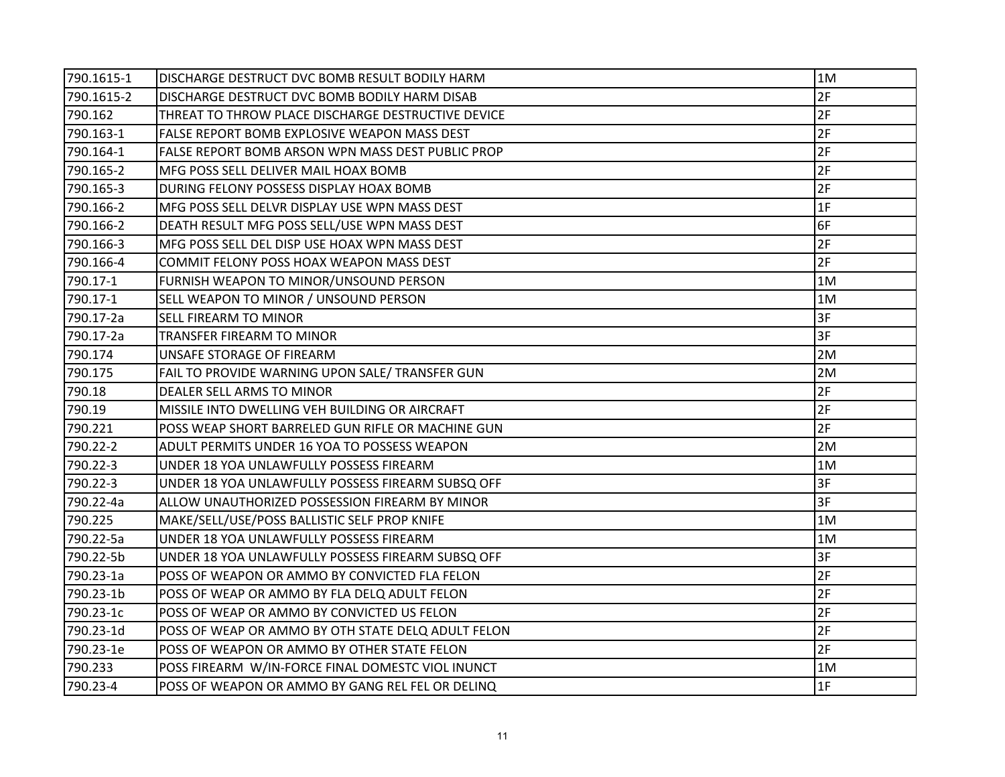| 790.1615-1 | DISCHARGE DESTRUCT DVC BOMB RESULT BODILY HARM     | 1M |
|------------|----------------------------------------------------|----|
| 790.1615-2 | DISCHARGE DESTRUCT DVC BOMB BODILY HARM DISAB      | 2F |
| 790.162    | THREAT TO THROW PLACE DISCHARGE DESTRUCTIVE DEVICE | 2F |
| 790.163-1  | FALSE REPORT BOMB EXPLOSIVE WEAPON MASS DEST       | 2F |
| 790.164-1  | FALSE REPORT BOMB ARSON WPN MASS DEST PUBLIC PROP  | 2F |
| 790.165-2  | MFG POSS SELL DELIVER MAIL HOAX BOMB               | 2F |
| 790.165-3  | DURING FELONY POSSESS DISPLAY HOAX BOMB            | 2F |
| 790.166-2  | MFG POSS SELL DELVR DISPLAY USE WPN MASS DEST      | 1F |
| 790.166-2  | DEATH RESULT MFG POSS SELL/USE WPN MASS DEST       | 6F |
| 790.166-3  | MFG POSS SELL DEL DISP USE HOAX WPN MASS DEST      | 2F |
| 790.166-4  | COMMIT FELONY POSS HOAX WEAPON MASS DEST           | 2F |
| 790.17-1   | FURNISH WEAPON TO MINOR/UNSOUND PERSON             | 1M |
| 790.17-1   | SELL WEAPON TO MINOR / UNSOUND PERSON              | 1M |
| 790.17-2a  | SELL FIREARM TO MINOR                              | 3F |
| 790.17-2a  | TRANSFER FIREARM TO MINOR                          | 3F |
| 790.174    | UNSAFE STORAGE OF FIREARM                          | 2M |
| 790.175    | FAIL TO PROVIDE WARNING UPON SALE/ TRANSFER GUN    | 2M |
| 790.18     | DEALER SELL ARMS TO MINOR                          | 2F |
| 790.19     | MISSILE INTO DWELLING VEH BUILDING OR AIRCRAFT     | 2F |
| 790.221    | POSS WEAP SHORT BARRELED GUN RIFLE OR MACHINE GUN  | 2F |
| 790.22-2   | ADULT PERMITS UNDER 16 YOA TO POSSESS WEAPON       | 2M |
| 790.22-3   | UNDER 18 YOA UNLAWFULLY POSSESS FIREARM            | 1M |
| 790.22-3   | UNDER 18 YOA UNLAWFULLY POSSESS FIREARM SUBSQ OFF  | 3F |
| 790.22-4a  | ALLOW UNAUTHORIZED POSSESSION FIREARM BY MINOR     | 3F |
| 790.225    | MAKE/SELL/USE/POSS BALLISTIC SELF PROP KNIFE       | 1M |
| 790.22-5a  | UNDER 18 YOA UNLAWFULLY POSSESS FIREARM            | 1M |
| 790.22-5b  | UNDER 18 YOA UNLAWFULLY POSSESS FIREARM SUBSQ OFF  | 3F |
| 790.23-1a  | POSS OF WEAPON OR AMMO BY CONVICTED FLA FELON      | 2F |
| 790.23-1b  | POSS OF WEAP OR AMMO BY FLA DELQ ADULT FELON       | 2F |
| 790.23-1c  | POSS OF WEAP OR AMMO BY CONVICTED US FELON         | 2F |
| 790.23-1d  | POSS OF WEAP OR AMMO BY OTH STATE DELQ ADULT FELON | 2F |
| 790.23-1e  | POSS OF WEAPON OR AMMO BY OTHER STATE FELON        | 2F |
| 790.233    | POSS FIREARM W/IN-FORCE FINAL DOMESTC VIOL INUNCT  | 1M |
| 790.23-4   | POSS OF WEAPON OR AMMO BY GANG REL FEL OR DELINQ   | 1F |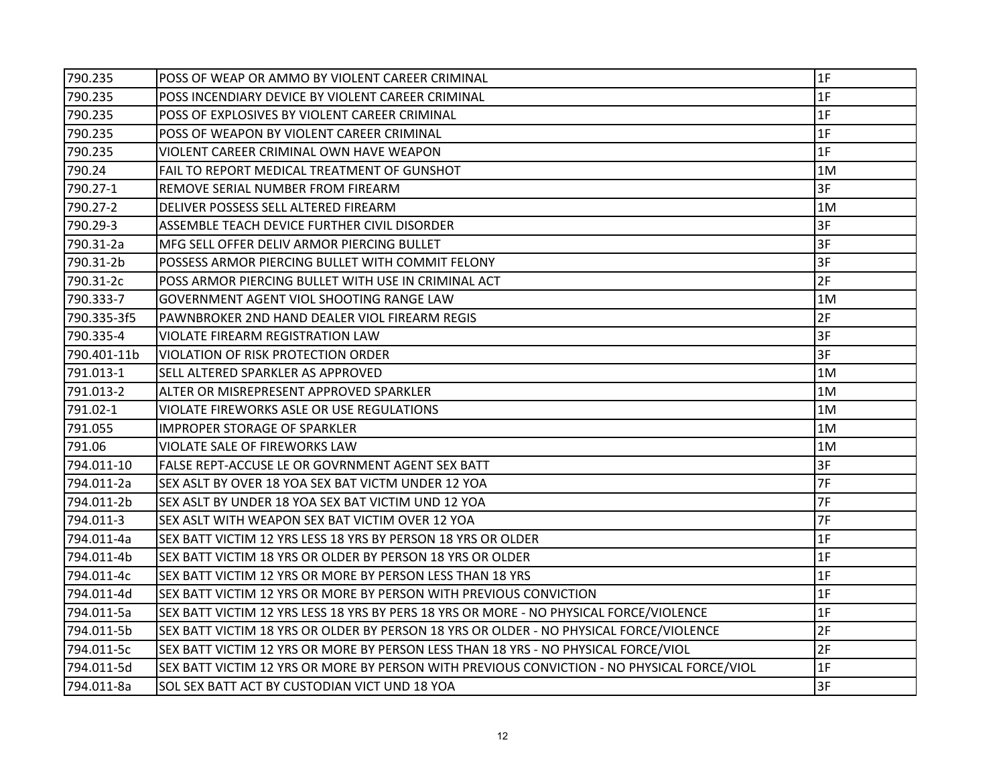| 790.235     | POSS OF WEAP OR AMMO BY VIOLENT CAREER CRIMINAL                                            | 1F |
|-------------|--------------------------------------------------------------------------------------------|----|
| 790.235     | POSS INCENDIARY DEVICE BY VIOLENT CAREER CRIMINAL                                          | 1F |
| 790.235     | POSS OF EXPLOSIVES BY VIOLENT CAREER CRIMINAL                                              | 1F |
| 790.235     | POSS OF WEAPON BY VIOLENT CAREER CRIMINAL                                                  | 1F |
| 790.235     | VIOLENT CAREER CRIMINAL OWN HAVE WEAPON                                                    | 1F |
| 790.24      | FAIL TO REPORT MEDICAL TREATMENT OF GUNSHOT                                                | 1M |
| 790.27-1    | REMOVE SERIAL NUMBER FROM FIREARM                                                          | 3F |
| 790.27-2    | DELIVER POSSESS SELL ALTERED FIREARM                                                       | 1M |
| 790.29-3    | ASSEMBLE TEACH DEVICE FURTHER CIVIL DISORDER                                               | 3F |
| 790.31-2a   | MFG SELL OFFER DELIV ARMOR PIERCING BULLET                                                 | 3F |
| 790.31-2b   | POSSESS ARMOR PIERCING BULLET WITH COMMIT FELONY                                           | 3F |
| 790.31-2c   | POSS ARMOR PIERCING BULLET WITH USE IN CRIMINAL ACT                                        | 2F |
| 790.333-7   | GOVERNMENT AGENT VIOL SHOOTING RANGE LAW                                                   | 1M |
| 790.335-3f5 | PAWNBROKER 2ND HAND DEALER VIOL FIREARM REGIS                                              | 2F |
| 790.335-4   | VIOLATE FIREARM REGISTRATION LAW                                                           | 3F |
| 790.401-11b | VIOLATION OF RISK PROTECTION ORDER                                                         | 3F |
| 791.013-1   | SELL ALTERED SPARKLER AS APPROVED                                                          | 1M |
| 791.013-2   | ALTER OR MISREPRESENT APPROVED SPARKLER                                                    | 1M |
| 791.02-1    | VIOLATE FIREWORKS ASLE OR USE REGULATIONS                                                  | 1M |
| 791.055     | IMPROPER STORAGE OF SPARKLER                                                               | 1M |
| 791.06      | VIOLATE SALE OF FIREWORKS LAW                                                              | 1M |
| 794.011-10  | FALSE REPT-ACCUSE LE OR GOVRNMENT AGENT SEX BATT                                           | 3F |
| 794.011-2a  | SEX ASLT BY OVER 18 YOA SEX BAT VICTM UNDER 12 YOA                                         | 7F |
| 794.011-2b  | SEX ASLT BY UNDER 18 YOA SEX BAT VICTIM UND 12 YOA                                         | 7F |
| 794.011-3   | SEX ASLT WITH WEAPON SEX BAT VICTIM OVER 12 YOA                                            | 7F |
| 794.011-4a  | SEX BATT VICTIM 12 YRS LESS 18 YRS BY PERSON 18 YRS OR OLDER                               | 1F |
| 794.011-4b  | SEX BATT VICTIM 18 YRS OR OLDER BY PERSON 18 YRS OR OLDER                                  | 1F |
| 794.011-4c  | SEX BATT VICTIM 12 YRS OR MORE BY PERSON LESS THAN 18 YRS                                  | 1F |
| 794.011-4d  | SEX BATT VICTIM 12 YRS OR MORE BY PERSON WITH PREVIOUS CONVICTION                          | 1F |
| 794.011-5a  | SEX BATT VICTIM 12 YRS LESS 18 YRS BY PERS 18 YRS OR MORE - NO PHYSICAL FORCE/VIOLENCE     | 1F |
| 794.011-5b  | SEX BATT VICTIM 18 YRS OR OLDER BY PERSON 18 YRS OR OLDER - NO PHYSICAL FORCE/VIOLENCE     | 2F |
| 794.011-5c  | SEX BATT VICTIM 12 YRS OR MORE BY PERSON LESS THAN 18 YRS - NO PHYSICAL FORCE/VIOL         | 2F |
| 794.011-5d  | SEX BATT VICTIM 12 YRS OR MORE BY PERSON WITH PREVIOUS CONVICTION - NO PHYSICAL FORCE/VIOL | 1F |
| 794.011-8a  | SOL SEX BATT ACT BY CUSTODIAN VICT UND 18 YOA                                              | 3F |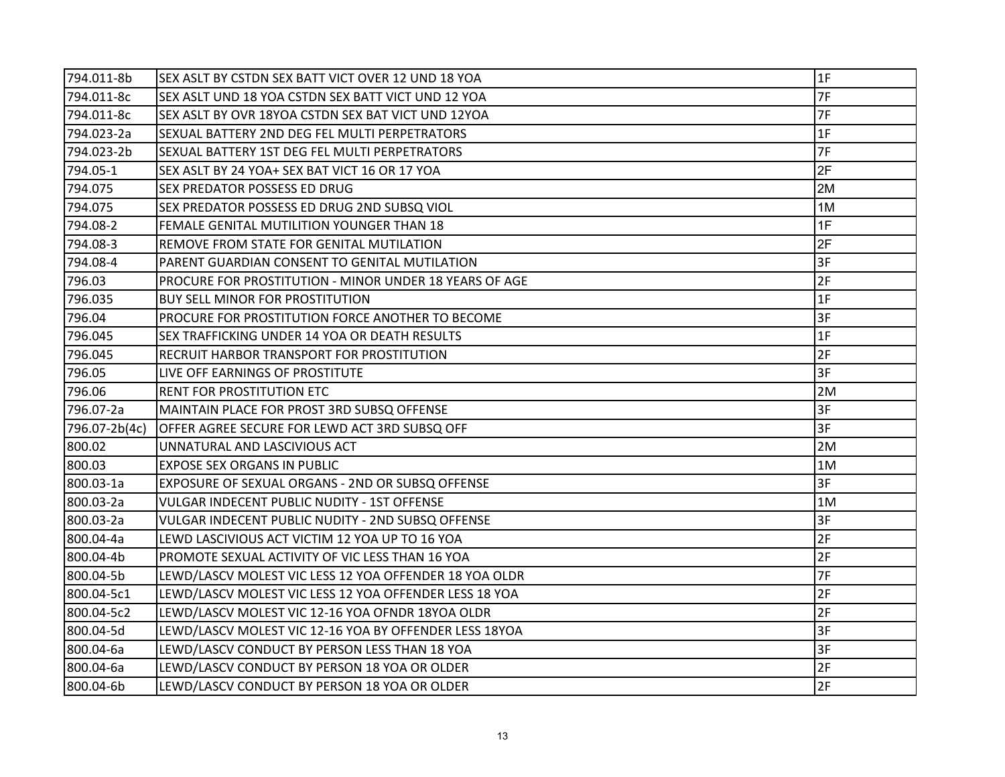| 794.011-8b    | SEX ASLT BY CSTDN SEX BATT VICT OVER 12 UND 18 YOA     | 1F |
|---------------|--------------------------------------------------------|----|
| 794.011-8c    | SEX ASLT UND 18 YOA CSTDN SEX BATT VICT UND 12 YOA     | 7F |
| 794.011-8c    | SEX ASLT BY OVR 18YOA CSTDN SEX BAT VICT UND 12YOA     | 7F |
| 794.023-2a    | SEXUAL BATTERY 2ND DEG FEL MULTI PERPETRATORS          | 1F |
| 794.023-2b    | SEXUAL BATTERY 1ST DEG FEL MULTI PERPETRATORS          | 7F |
| 794.05-1      | SEX ASLT BY 24 YOA+ SEX BAT VICT 16 OR 17 YOA          | 2F |
| 794.075       | <b>SEX PREDATOR POSSESS ED DRUG</b>                    | 2M |
| 794.075       | SEX PREDATOR POSSESS ED DRUG 2ND SUBSQ VIOL            | 1M |
| 794.08-2      | FEMALE GENITAL MUTILITION YOUNGER THAN 18              | 1F |
| 794.08-3      | REMOVE FROM STATE FOR GENITAL MUTILATION               | 2F |
| 794.08-4      | PARENT GUARDIAN CONSENT TO GENITAL MUTILATION          | 3F |
| 796.03        | PROCURE FOR PROSTITUTION - MINOR UNDER 18 YEARS OF AGE | 2F |
| 796.035       | <b>BUY SELL MINOR FOR PROSTITUTION</b>                 | 1F |
| 796.04        | PROCURE FOR PROSTITUTION FORCE ANOTHER TO BECOME       | 3F |
| 796.045       | SEX TRAFFICKING UNDER 14 YOA OR DEATH RESULTS          | 1F |
| 796.045       | RECRUIT HARBOR TRANSPORT FOR PROSTITUTION              | 2F |
| 796.05        | LIVE OFF EARNINGS OF PROSTITUTE                        | 3F |
| 796.06        | RENT FOR PROSTITUTION ETC                              | 2M |
| 796.07-2a     | MAINTAIN PLACE FOR PROST 3RD SUBSQ OFFENSE             | 3F |
| 796.07-2b(4c) | OFFER AGREE SECURE FOR LEWD ACT 3RD SUBSQ OFF          | 3F |
| 800.02        | UNNATURAL AND LASCIVIOUS ACT                           | 2M |
| 800.03        | EXPOSE SEX ORGANS IN PUBLIC                            | 1M |
| 800.03-1a     | EXPOSURE OF SEXUAL ORGANS - 2ND OR SUBSQ OFFENSE       | 3F |
| 800.03-2a     | VULGAR INDECENT PUBLIC NUDITY - 1ST OFFENSE            | 1M |
| 800.03-2a     | VULGAR INDECENT PUBLIC NUDITY - 2ND SUBSQ OFFENSE      | 3F |
| 800.04-4a     | LEWD LASCIVIOUS ACT VICTIM 12 YOA UP TO 16 YOA         | 2F |
| 800.04-4b     | PROMOTE SEXUAL ACTIVITY OF VIC LESS THAN 16 YOA        | 2F |
| 800.04-5b     | LEWD/LASCV MOLEST VIC LESS 12 YOA OFFENDER 18 YOA OLDR | 7F |
| 800.04-5c1    | LEWD/LASCV MOLEST VIC LESS 12 YOA OFFENDER LESS 18 YOA | 2F |
| 800.04-5c2    | LEWD/LASCV MOLEST VIC 12-16 YOA OFNDR 18YOA OLDR       | 2F |
| 800.04-5d     | LEWD/LASCV MOLEST VIC 12-16 YOA BY OFFENDER LESS 18YOA | 3F |
| 800.04-6a     | LEWD/LASCV CONDUCT BY PERSON LESS THAN 18 YOA          | 3F |
| 800.04-6a     | LEWD/LASCV CONDUCT BY PERSON 18 YOA OR OLDER           | 2F |
| 800.04-6b     | LEWD/LASCV CONDUCT BY PERSON 18 YOA OR OLDER           | 2F |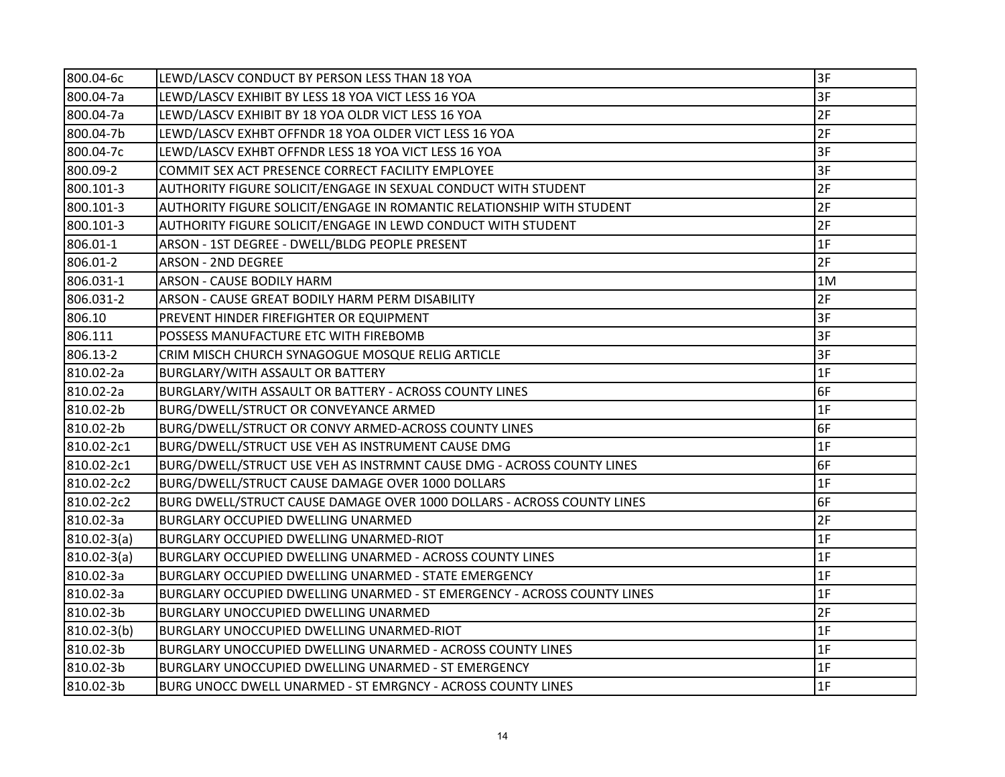| 800.04-6c       | LEWD/LASCV CONDUCT BY PERSON LESS THAN 18 YOA                           | 3F |
|-----------------|-------------------------------------------------------------------------|----|
| 800.04-7a       | LEWD/LASCV EXHIBIT BY LESS 18 YOA VICT LESS 16 YOA                      | 3F |
| 800.04-7a       | LEWD/LASCV EXHIBIT BY 18 YOA OLDR VICT LESS 16 YOA                      | 2F |
| 800.04-7b       | LEWD/LASCV EXHBT OFFNDR 18 YOA OLDER VICT LESS 16 YOA                   | 2F |
| 800.04-7c       | LEWD/LASCV EXHBT OFFNDR LESS 18 YOA VICT LESS 16 YOA                    | 3F |
| 800.09-2        | COMMIT SEX ACT PRESENCE CORRECT FACILITY EMPLOYEE                       | 3F |
| 800.101-3       | AUTHORITY FIGURE SOLICIT/ENGAGE IN SEXUAL CONDUCT WITH STUDENT          | 2F |
| 800.101-3       | AUTHORITY FIGURE SOLICIT/ENGAGE IN ROMANTIC RELATIONSHIP WITH STUDENT   | 2F |
| 800.101-3       | AUTHORITY FIGURE SOLICIT/ENGAGE IN LEWD CONDUCT WITH STUDENT            | 2F |
| 806.01-1        | ARSON - 1ST DEGREE - DWELL/BLDG PEOPLE PRESENT                          | 1F |
| 806.01-2        | <b>ARSON - 2ND DEGREE</b>                                               | 2F |
| 806.031-1       | ARSON - CAUSE BODILY HARM                                               | 1M |
| 806.031-2       | ARSON - CAUSE GREAT BODILY HARM PERM DISABILITY                         | 2F |
| 806.10          | PREVENT HINDER FIREFIGHTER OR EQUIPMENT                                 | 3F |
| 806.111         | POSSESS MANUFACTURE ETC WITH FIREBOMB                                   | 3F |
| 806.13-2        | CRIM MISCH CHURCH SYNAGOGUE MOSQUE RELIG ARTICLE                        | 3F |
| 810.02-2a       | BURGLARY/WITH ASSAULT OR BATTERY                                        | 1F |
| 810.02-2a       | BURGLARY/WITH ASSAULT OR BATTERY - ACROSS COUNTY LINES                  | 6F |
| 810.02-2b       | BURG/DWELL/STRUCT OR CONVEYANCE ARMED                                   | 1F |
| 810.02-2b       | BURG/DWELL/STRUCT OR CONVY ARMED-ACROSS COUNTY LINES                    | 6F |
| 810.02-2c1      | BURG/DWELL/STRUCT USE VEH AS INSTRUMENT CAUSE DMG                       | 1F |
| 810.02-2c1      | BURG/DWELL/STRUCT USE VEH AS INSTRMNT CAUSE DMG - ACROSS COUNTY LINES   | 6F |
| 810.02-2c2      | BURG/DWELL/STRUCT CAUSE DAMAGE OVER 1000 DOLLARS                        | 1F |
| 810.02-2c2      | BURG DWELL/STRUCT CAUSE DAMAGE OVER 1000 DOLLARS - ACROSS COUNTY LINES  | 6F |
| 810.02-3a       | <b>BURGLARY OCCUPIED DWELLING UNARMED</b>                               | 2F |
| $810.02 - 3(a)$ | BURGLARY OCCUPIED DWELLING UNARMED-RIOT                                 | 1F |
| 810.02-3(a)     | BURGLARY OCCUPIED DWELLING UNARMED - ACROSS COUNTY LINES                | 1F |
| 810.02-3a       | BURGLARY OCCUPIED DWELLING UNARMED - STATE EMERGENCY                    | 1F |
| 810.02-3a       | BURGLARY OCCUPIED DWELLING UNARMED - ST EMERGENCY - ACROSS COUNTY LINES | 1F |
| 810.02-3b       | <b>BURGLARY UNOCCUPIED DWELLING UNARMED</b>                             | 2F |
| $810.02 - 3(b)$ | BURGLARY UNOCCUPIED DWELLING UNARMED-RIOT                               | 1F |
| 810.02-3b       | BURGLARY UNOCCUPIED DWELLING UNARMED - ACROSS COUNTY LINES              | 1F |
| 810.02-3b       | BURGLARY UNOCCUPIED DWELLING UNARMED - ST EMERGENCY                     | 1F |
| 810.02-3b       | BURG UNOCC DWELL UNARMED - ST EMRGNCY - ACROSS COUNTY LINES             | 1F |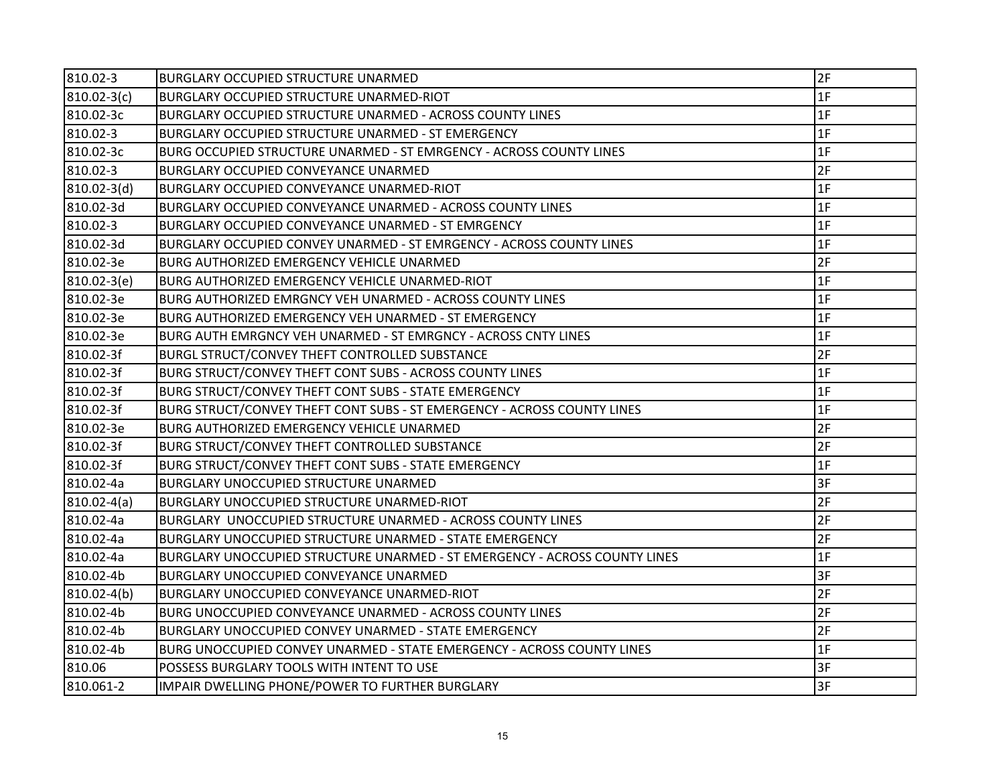| 810.02-3        | <b>BURGLARY OCCUPIED STRUCTURE UNARMED</b>                                 | 2F |
|-----------------|----------------------------------------------------------------------------|----|
| $810.02 - 3(c)$ | BURGLARY OCCUPIED STRUCTURE UNARMED-RIOT                                   | 1F |
| 810.02-3c       | BURGLARY OCCUPIED STRUCTURE UNARMED - ACROSS COUNTY LINES                  | 1F |
| 810.02-3        | BURGLARY OCCUPIED STRUCTURE UNARMED - ST EMERGENCY                         | 1F |
| 810.02-3c       | BURG OCCUPIED STRUCTURE UNARMED - ST EMRGENCY - ACROSS COUNTY LINES        | 1F |
| 810.02-3        | BURGLARY OCCUPIED CONVEYANCE UNARMED                                       | 2F |
| 810.02-3(d)     | BURGLARY OCCUPIED CONVEYANCE UNARMED-RIOT                                  | 1F |
| 810.02-3d       | BURGLARY OCCUPIED CONVEYANCE UNARMED - ACROSS COUNTY LINES                 | 1F |
| 810.02-3        | BURGLARY OCCUPIED CONVEYANCE UNARMED - ST EMRGENCY                         | 1F |
| 810.02-3d       | BURGLARY OCCUPIED CONVEY UNARMED - ST EMRGENCY - ACROSS COUNTY LINES       | 1F |
| 810.02-3e       | <b>BURG AUTHORIZED EMERGENCY VEHICLE UNARMED</b>                           | 2F |
| 810.02-3(e)     | BURG AUTHORIZED EMERGENCY VEHICLE UNARMED-RIOT                             | 1F |
| 810.02-3e       | <b>BURG AUTHORIZED EMRGNCY VEH UNARMED - ACROSS COUNTY LINES</b>           | 1F |
| 810.02-3e       | IBURG AUTHORIZED EMERGENCY VEH UNARMED - ST EMERGENCY                      | 1F |
| 810.02-3e       | BURG AUTH EMRGNCY VEH UNARMED - ST EMRGNCY - ACROSS CNTY LINES             | 1F |
| 810.02-3f       | BURGL STRUCT/CONVEY THEFT CONTROLLED SUBSTANCE                             | 2F |
| 810.02-3f       | BURG STRUCT/CONVEY THEFT CONT SUBS - ACROSS COUNTY LINES                   | 1F |
| 810.02-3f       | BURG STRUCT/CONVEY THEFT CONT SUBS - STATE EMERGENCY                       | 1F |
| 810.02-3f       | BURG STRUCT/CONVEY THEFT CONT SUBS - ST EMERGENCY - ACROSS COUNTY LINES    | 1F |
| 810.02-3e       | <b>BURG AUTHORIZED EMERGENCY VEHICLE UNARMED</b>                           | 2F |
| 810.02-3f       | BURG STRUCT/CONVEY THEFT CONTROLLED SUBSTANCE                              | 2F |
| 810.02-3f       | BURG STRUCT/CONVEY THEFT CONT SUBS - STATE EMERGENCY                       | 1F |
| 810.02-4a       | <b>BURGLARY UNOCCUPIED STRUCTURE UNARMED</b>                               | 3F |
| $ 810.02-4(a) $ | BURGLARY UNOCCUPIED STRUCTURE UNARMED-RIOT                                 | 2F |
| 810.02-4a       | BURGLARY UNOCCUPIED STRUCTURE UNARMED - ACROSS COUNTY LINES                | 2F |
| 810.02-4a       | <b>BURGLARY UNOCCUPIED STRUCTURE UNARMED - STATE EMERGENCY</b>             | 2F |
| 810.02-4a       | BURGLARY UNOCCUPIED STRUCTURE UNARMED - ST EMERGENCY - ACROSS COUNTY LINES | 1F |
| 810.02-4b       | BURGLARY UNOCCUPIED CONVEYANCE UNARMED                                     | 3F |
| $810.02 - 4(b)$ | BURGLARY UNOCCUPIED CONVEYANCE UNARMED-RIOT                                | 2F |
| 810.02-4b       | BURG UNOCCUPIED CONVEYANCE UNARMED - ACROSS COUNTY LINES                   | 2F |
| 810.02-4b       | BURGLARY UNOCCUPIED CONVEY UNARMED - STATE EMERGENCY                       | 2F |
| 810.02-4b       | BURG UNOCCUPIED CONVEY UNARMED - STATE EMERGENCY - ACROSS COUNTY LINES     | 1F |
| 810.06          | POSSESS BURGLARY TOOLS WITH INTENT TO USE                                  | 3F |
| 810.061-2       | IMPAIR DWELLING PHONE/POWER TO FURTHER BURGLARY                            | 3F |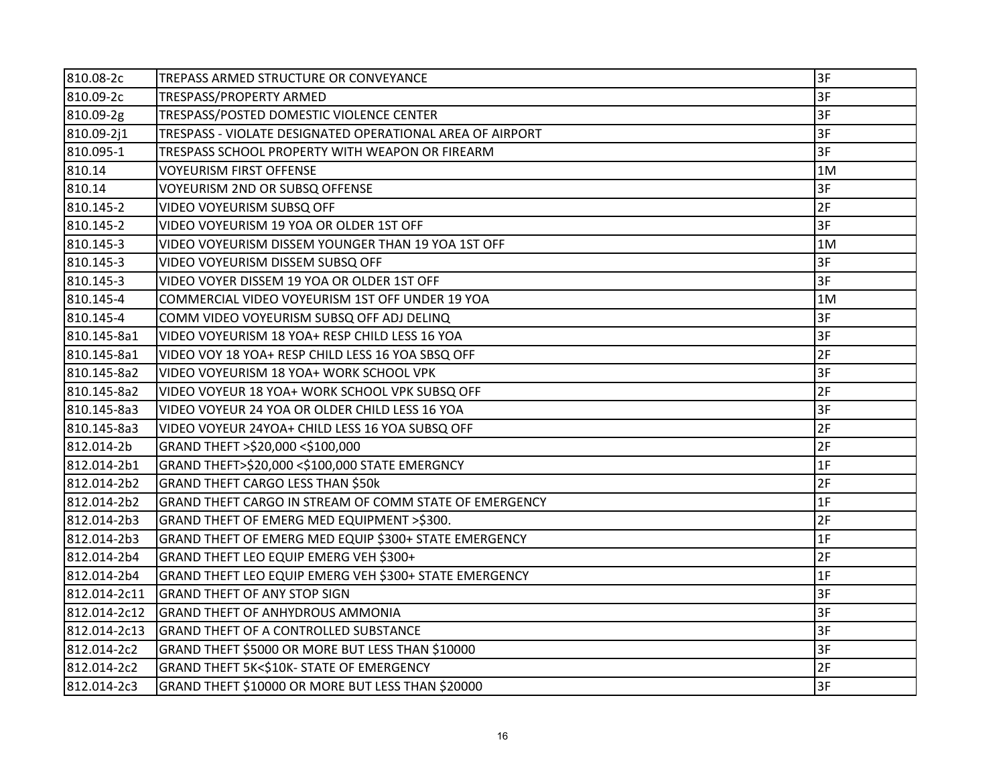| 810.08-2c    | TREPASS ARMED STRUCTURE OR CONVEYANCE                     | 3F |
|--------------|-----------------------------------------------------------|----|
| 810.09-2c    | TRESPASS/PROPERTY ARMED                                   | 3F |
| 810.09-2g    | TRESPASS/POSTED DOMESTIC VIOLENCE CENTER                  | 3F |
| 810.09-2j1   | TRESPASS - VIOLATE DESIGNATED OPERATIONAL AREA OF AIRPORT | 3F |
| 810.095-1    | TRESPASS SCHOOL PROPERTY WITH WEAPON OR FIREARM           | 3F |
| 810.14       | <b>VOYEURISM FIRST OFFENSE</b>                            | 1M |
| 810.14       | VOYEURISM 2ND OR SUBSQ OFFENSE                            | 3F |
| 810.145-2    | VIDEO VOYEURISM SUBSQ OFF                                 | 2F |
| 810.145-2    | VIDEO VOYEURISM 19 YOA OR OLDER 1ST OFF                   | 3F |
| 810.145-3    | VIDEO VOYEURISM DISSEM YOUNGER THAN 19 YOA 1ST OFF        | 1M |
| 810.145-3    | VIDEO VOYEURISM DISSEM SUBSQ OFF                          | 3F |
| 810.145-3    | VIDEO VOYER DISSEM 19 YOA OR OLDER 1ST OFF                | 3F |
| 810.145-4    | COMMERCIAL VIDEO VOYEURISM 1ST OFF UNDER 19 YOA           | 1M |
| 810.145-4    | COMM VIDEO VOYEURISM SUBSQ OFF ADJ DELINQ                 | 3F |
| 810.145-8a1  | VIDEO VOYEURISM 18 YOA+ RESP CHILD LESS 16 YOA            | 3F |
| 810.145-8a1  | VIDEO VOY 18 YOA+ RESP CHILD LESS 16 YOA SBSQ OFF         | 2F |
| 810.145-8a2  | VIDEO VOYEURISM 18 YOA+ WORK SCHOOL VPK                   | 3F |
| 810.145-8a2  | VIDEO VOYEUR 18 YOA+ WORK SCHOOL VPK SUBSQ OFF            | 2F |
| 810.145-8a3  | VIDEO VOYEUR 24 YOA OR OLDER CHILD LESS 16 YOA            | 3F |
| 810.145-8a3  | VIDEO VOYEUR 24YOA+ CHILD LESS 16 YOA SUBSQ OFF           | 2F |
| 812.014-2b   | GRAND THEFT >\$20,000 <\$100,000                          | 2F |
| 812.014-2b1  | GRAND THEFT>\$20,000 <\$100,000 STATE EMERGNCY            | 1F |
| 812.014-2b2  | <b>GRAND THEFT CARGO LESS THAN \$50k</b>                  | 2F |
| 812.014-2b2  | GRAND THEFT CARGO IN STREAM OF COMM STATE OF EMERGENCY    | 1F |
| 812.014-2b3  | GRAND THEFT OF EMERG MED EQUIPMENT >\$300.                | 2F |
| 812.014-2b3  | GRAND THEFT OF EMERG MED EQUIP \$300+ STATE EMERGENCY     | 1F |
| 812.014-2b4  | GRAND THEFT LEO EQUIP EMERG VEH \$300+                    | 2F |
| 812.014-2b4  | GRAND THEFT LEO EQUIP EMERG VEH \$300+ STATE EMERGENCY    | 1F |
| 812.014-2c11 | <b>GRAND THEFT OF ANY STOP SIGN</b>                       | 3F |
| 812.014-2c12 | <b>GRAND THEFT OF ANHYDROUS AMMONIA</b>                   | 3F |
| 812.014-2c13 | <b>GRAND THEFT OF A CONTROLLED SUBSTANCE</b>              | 3F |
| 812.014-2c2  | GRAND THEFT \$5000 OR MORE BUT LESS THAN \$10000          | 3F |
| 812.014-2c2  | GRAND THEFT 5K<\$10K- STATE OF EMERGENCY                  | 2F |
| 812.014-2c3  | GRAND THEFT \$10000 OR MORE BUT LESS THAN \$20000         | 3F |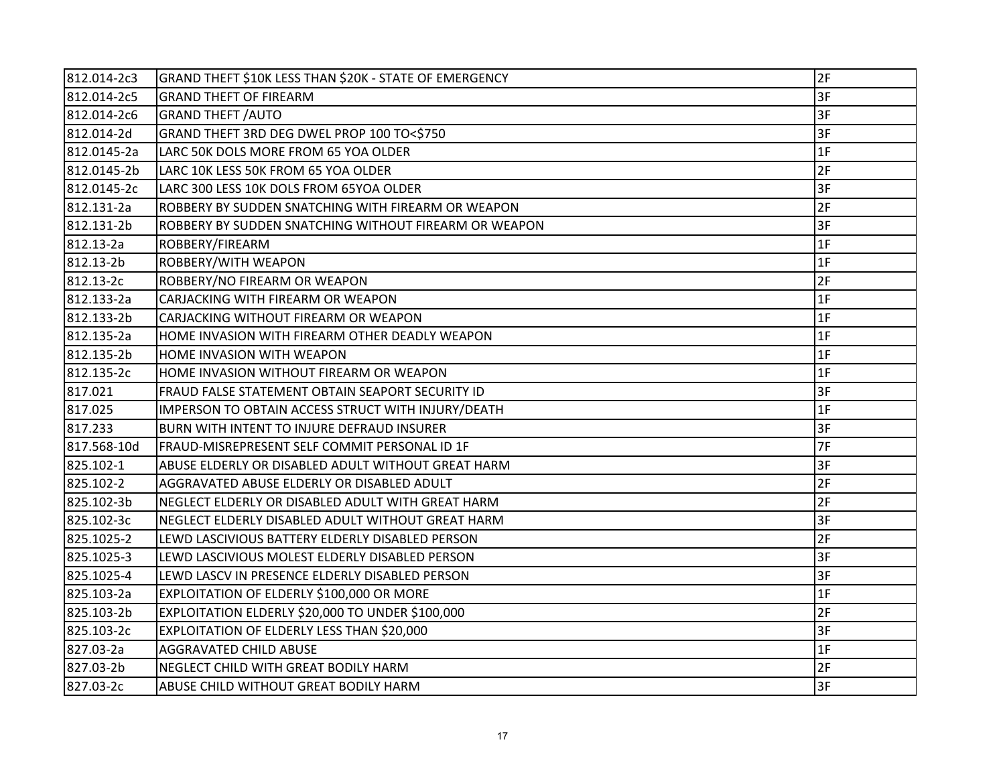| 812.014-2c3 | GRAND THEFT \$10K LESS THAN \$20K - STATE OF EMERGENCY | 2F |
|-------------|--------------------------------------------------------|----|
| 812.014-2c5 | <b>GRAND THEFT OF FIREARM</b>                          | 3F |
| 812.014-2c6 | <b>GRAND THEFT / AUTO</b>                              | 3F |
| 812.014-2d  | GRAND THEFT 3RD DEG DWEL PROP 100 TO<\$750             | 3F |
| 812.0145-2a | LARC 50K DOLS MORE FROM 65 YOA OLDER                   | 1F |
| 812.0145-2b | LARC 10K LESS 50K FROM 65 YOA OLDER                    | 2F |
| 812.0145-2c | LARC 300 LESS 10K DOLS FROM 65YOA OLDER                | 3F |
| 812.131-2a  | ROBBERY BY SUDDEN SNATCHING WITH FIREARM OR WEAPON     | 2F |
| 812.131-2b  | ROBBERY BY SUDDEN SNATCHING WITHOUT FIREARM OR WEAPON  | 3F |
| 812.13-2a   | ROBBERY/FIREARM                                        | 1F |
| 812.13-2b   | ROBBERY/WITH WEAPON                                    | 1F |
| 812.13-2c   | ROBBERY/NO FIREARM OR WEAPON                           | 2F |
| 812.133-2a  | CARJACKING WITH FIREARM OR WEAPON                      | 1F |
| 812.133-2b  | CARJACKING WITHOUT FIREARM OR WEAPON                   | 1F |
| 812.135-2a  | HOME INVASION WITH FIREARM OTHER DEADLY WEAPON         | 1F |
| 812.135-2b  | HOME INVASION WITH WEAPON                              | 1F |
| 812.135-2c  | HOME INVASION WITHOUT FIREARM OR WEAPON                | 1F |
| 817.021     | FRAUD FALSE STATEMENT OBTAIN SEAPORT SECURITY ID       | 3F |
| 817.025     | IMPERSON TO OBTAIN ACCESS STRUCT WITH INJURY/DEATH     | 1F |
| 817.233     | BURN WITH INTENT TO INJURE DEFRAUD INSURER             | 3F |
| 817.568-10d | FRAUD-MISREPRESENT SELF COMMIT PERSONAL ID 1F          | 7F |
| 825.102-1   | ABUSE ELDERLY OR DISABLED ADULT WITHOUT GREAT HARM     | 3F |
| 825.102-2   | AGGRAVATED ABUSE ELDERLY OR DISABLED ADULT             | 2F |
| 825.102-3b  | NEGLECT ELDERLY OR DISABLED ADULT WITH GREAT HARM      | 2F |
| 825.102-3c  | NEGLECT ELDERLY DISABLED ADULT WITHOUT GREAT HARM      | 3F |
| 825.1025-2  | LEWD LASCIVIOUS BATTERY ELDERLY DISABLED PERSON        | 2F |
| 825.1025-3  | LEWD LASCIVIOUS MOLEST ELDERLY DISABLED PERSON         | 3F |
| 825.1025-4  | LEWD LASCV IN PRESENCE ELDERLY DISABLED PERSON         | 3F |
| 825.103-2a  | EXPLOITATION OF ELDERLY \$100,000 OR MORE              | 1F |
| 825.103-2b  | EXPLOITATION ELDERLY \$20,000 TO UNDER \$100,000       | 2F |
| 825.103-2c  | EXPLOITATION OF ELDERLY LESS THAN \$20,000             | 3F |
| 827.03-2a   | <b>AGGRAVATED CHILD ABUSE</b>                          | 1F |
| 827.03-2b   | NEGLECT CHILD WITH GREAT BODILY HARM                   | 2F |
| 827.03-2c   | ABUSE CHILD WITHOUT GREAT BODILY HARM                  | 3F |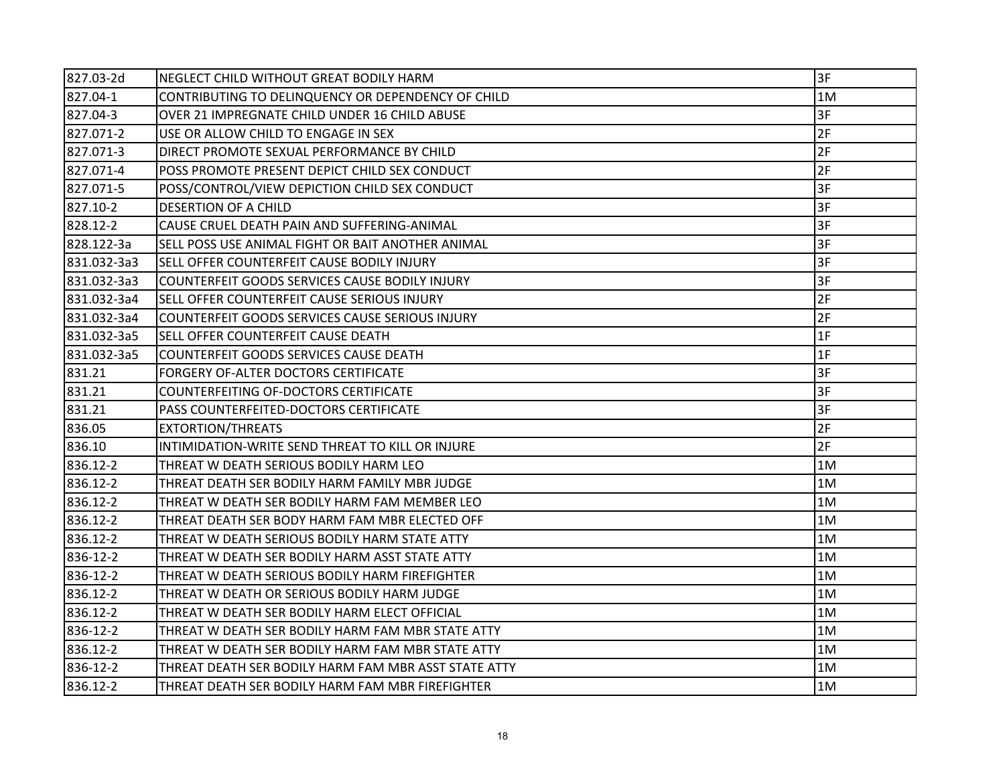| 827.03-2d   | NEGLECT CHILD WITHOUT GREAT BODILY HARM              | 3F |
|-------------|------------------------------------------------------|----|
| 827.04-1    | CONTRIBUTING TO DELINQUENCY OR DEPENDENCY OF CHILD   | 1M |
| 827.04-3    | OVER 21 IMPREGNATE CHILD UNDER 16 CHILD ABUSE        | 3F |
| 827.071-2   | USE OR ALLOW CHILD TO ENGAGE IN SEX                  | 2F |
| 827.071-3   | DIRECT PROMOTE SEXUAL PERFORMANCE BY CHILD           | 2F |
| 827.071-4   | POSS PROMOTE PRESENT DEPICT CHILD SEX CONDUCT        | 2F |
| 827.071-5   | POSS/CONTROL/VIEW DEPICTION CHILD SEX CONDUCT        | 3F |
| 827.10-2    | <b>DESERTION OF A CHILD</b>                          | 3F |
| 828.12-2    | CAUSE CRUEL DEATH PAIN AND SUFFERING-ANIMAL          | 3F |
| 828.122-3a  | SELL POSS USE ANIMAL FIGHT OR BAIT ANOTHER ANIMAL    | 3F |
| 831.032-3a3 | SELL OFFER COUNTERFEIT CAUSE BODILY INJURY           | 3F |
| 831.032-3a3 | COUNTERFEIT GOODS SERVICES CAUSE BODILY INJURY       | 3F |
| 831.032-3a4 | SELL OFFER COUNTERFEIT CAUSE SERIOUS INJURY          | 2F |
| 831.032-3a4 | COUNTERFEIT GOODS SERVICES CAUSE SERIOUS INJURY      | 2F |
| 831.032-3a5 | SELL OFFER COUNTERFEIT CAUSE DEATH                   | 1F |
| 831.032-3a5 | COUNTERFEIT GOODS SERVICES CAUSE DEATH               | 1F |
| 831.21      | FORGERY OF-ALTER DOCTORS CERTIFICATE                 | 3F |
| 831.21      | COUNTERFEITING OF-DOCTORS CERTIFICATE                | 3F |
| 831.21      | PASS COUNTERFEITED-DOCTORS CERTIFICATE               | 3F |
| 836.05      | <b>EXTORTION/THREATS</b>                             | 2F |
| 836.10      | INTIMIDATION-WRITE SEND THREAT TO KILL OR INJURE     | 2F |
| 836.12-2    | THREAT W DEATH SERIOUS BODILY HARM LEO               | 1M |
| 836.12-2    | THREAT DEATH SER BODILY HARM FAMILY MBR JUDGE        | 1M |
| 836.12-2    | THREAT W DEATH SER BODILY HARM FAM MEMBER LEO        | 1M |
| 836.12-2    | THREAT DEATH SER BODY HARM FAM MBR ELECTED OFF       | 1M |
| 836.12-2    | THREAT W DEATH SERIOUS BODILY HARM STATE ATTY        | 1M |
| 836-12-2    | THREAT W DEATH SER BODILY HARM ASST STATE ATTY       | 1M |
| 836-12-2    | THREAT W DEATH SERIOUS BODILY HARM FIREFIGHTER       | 1M |
| 836.12-2    | THREAT W DEATH OR SERIOUS BODILY HARM JUDGE          | 1M |
| 836.12-2    | THREAT W DEATH SER BODILY HARM ELECT OFFICIAL        | 1M |
| 836-12-2    | THREAT W DEATH SER BODILY HARM FAM MBR STATE ATTY    | 1M |
| 836.12-2    | THREAT W DEATH SER BODILY HARM FAM MBR STATE ATTY    | 1M |
| 836-12-2    | THREAT DEATH SER BODILY HARM FAM MBR ASST STATE ATTY | 1M |
| 836.12-2    | THREAT DEATH SER BODILY HARM FAM MBR FIREFIGHTER     | 1M |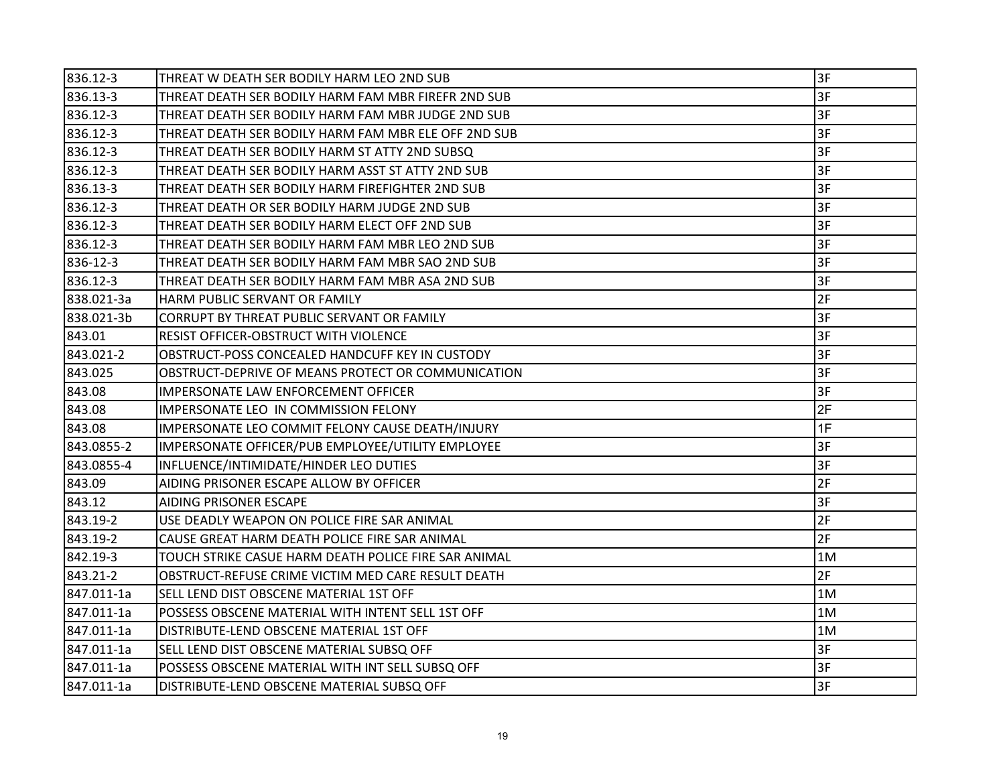| 836.12-3   | THREAT W DEATH SER BODILY HARM LEO 2ND SUB           | 3F |
|------------|------------------------------------------------------|----|
| 836.13-3   | THREAT DEATH SER BODILY HARM FAM MBR FIREFR 2ND SUB  | 3F |
| 836.12-3   | THREAT DEATH SER BODILY HARM FAM MBR JUDGE 2ND SUB   | 3F |
| 836.12-3   | THREAT DEATH SER BODILY HARM FAM MBR ELE OFF 2ND SUB | 3F |
| 836.12-3   | THREAT DEATH SER BODILY HARM ST ATTY 2ND SUBSQ       | 3F |
| 836.12-3   | THREAT DEATH SER BODILY HARM ASST ST ATTY 2ND SUB    | 3F |
| 836.13-3   | THREAT DEATH SER BODILY HARM FIREFIGHTER 2ND SUB     | 3F |
| 836.12-3   | THREAT DEATH OR SER BODILY HARM JUDGE 2ND SUB        | 3F |
| 836.12-3   | THREAT DEATH SER BODILY HARM ELECT OFF 2ND SUB       | 3F |
| 836.12-3   | THREAT DEATH SER BODILY HARM FAM MBR LEO 2ND SUB     | 3F |
| 836-12-3   | THREAT DEATH SER BODILY HARM FAM MBR SAO 2ND SUB     | 3F |
| 836.12-3   | THREAT DEATH SER BODILY HARM FAM MBR ASA 2ND SUB     | 3F |
| 838.021-3a | HARM PUBLIC SERVANT OR FAMILY                        | 2F |
| 838.021-3b | CORRUPT BY THREAT PUBLIC SERVANT OR FAMILY           | 3F |
| 843.01     | RESIST OFFICER-OBSTRUCT WITH VIOLENCE                | 3F |
| 843.021-2  | OBSTRUCT-POSS CONCEALED HANDCUFF KEY IN CUSTODY      | 3F |
| 843.025    | OBSTRUCT-DEPRIVE OF MEANS PROTECT OR COMMUNICATION   | 3F |
| 843.08     | IMPERSONATE LAW ENFORCEMENT OFFICER                  | 3F |
| 843.08     | IMPERSONATE LEO IN COMMISSION FELONY                 | 2F |
| 843.08     | IMPERSONATE LEO COMMIT FELONY CAUSE DEATH/INJURY     | 1F |
| 843.0855-2 | IMPERSONATE OFFICER/PUB EMPLOYEE/UTILITY EMPLOYEE    | 3F |
| 843.0855-4 | INFLUENCE/INTIMIDATE/HINDER LEO DUTIES               | 3F |
| 843.09     | AIDING PRISONER ESCAPE ALLOW BY OFFICER              | 2F |
| 843.12     | AIDING PRISONER ESCAPE                               | 3F |
| 843.19-2   | USE DEADLY WEAPON ON POLICE FIRE SAR ANIMAL          | 2F |
| 843.19-2   | CAUSE GREAT HARM DEATH POLICE FIRE SAR ANIMAL        | 2F |
| 842.19-3   | TOUCH STRIKE CASUE HARM DEATH POLICE FIRE SAR ANIMAL | 1M |
| 843.21-2   | OBSTRUCT-REFUSE CRIME VICTIM MED CARE RESULT DEATH   | 2F |
| 847.011-1a | SELL LEND DIST OBSCENE MATERIAL 1ST OFF              | 1M |
| 847.011-1a | POSSESS OBSCENE MATERIAL WITH INTENT SELL 1ST OFF    | 1M |
| 847.011-1a | DISTRIBUTE-LEND OBSCENE MATERIAL 1ST OFF             | 1M |
| 847.011-1a | SELL LEND DIST OBSCENE MATERIAL SUBSQ OFF            | 3F |
| 847.011-1a | POSSESS OBSCENE MATERIAL WITH INT SELL SUBSQ OFF     | 3F |
| 847.011-1a | DISTRIBUTE-LEND OBSCENE MATERIAL SUBSQ OFF           | 3F |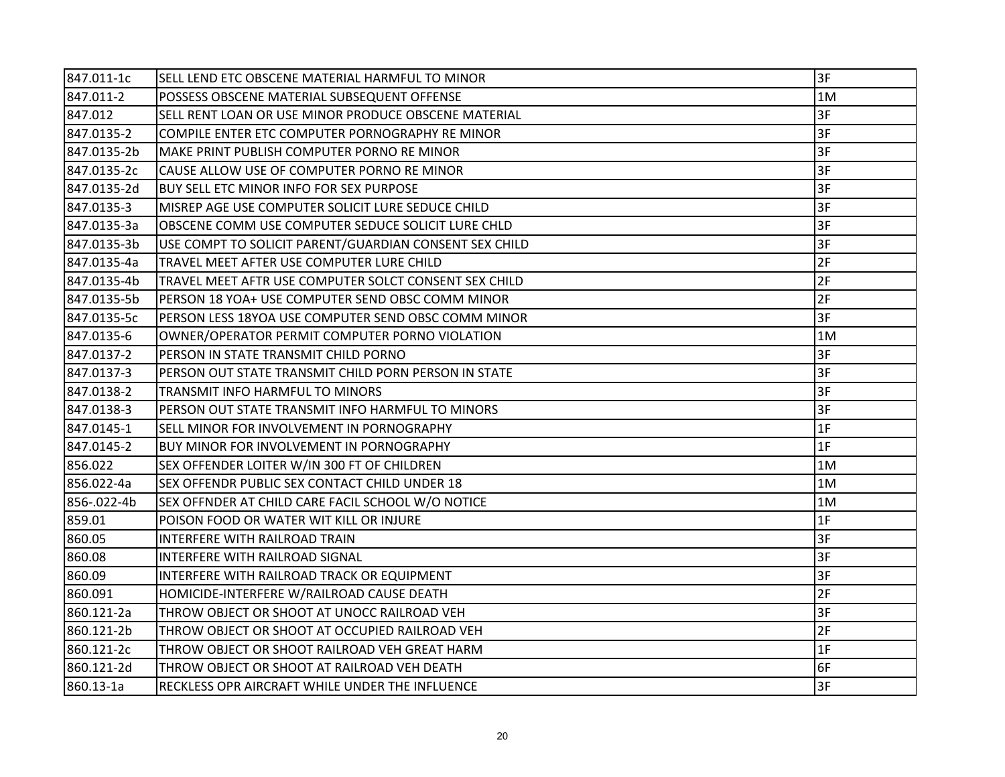| 847.011-1c  | SELL LEND ETC OBSCENE MATERIAL HARMFUL TO MINOR        | 3F |
|-------------|--------------------------------------------------------|----|
| 847.011-2   | POSSESS OBSCENE MATERIAL SUBSEQUENT OFFENSE            | 1M |
| 847.012     | SELL RENT LOAN OR USE MINOR PRODUCE OBSCENE MATERIAL   | 3F |
| 847.0135-2  | COMPILE ENTER ETC COMPUTER PORNOGRAPHY RE MINOR        | 3F |
| 847.0135-2b | MAKE PRINT PUBLISH COMPUTER PORNO RE MINOR             | 3F |
| 847.0135-2c | CAUSE ALLOW USE OF COMPUTER PORNO RE MINOR             | 3F |
| 847.0135-2d | BUY SELL ETC MINOR INFO FOR SEX PURPOSE                | 3F |
| 847.0135-3  | MISREP AGE USE COMPUTER SOLICIT LURE SEDUCE CHILD      | 3F |
| 847.0135-3a | OBSCENE COMM USE COMPUTER SEDUCE SOLICIT LURE CHLD     | 3F |
| 847.0135-3b | USE COMPT TO SOLICIT PARENT/GUARDIAN CONSENT SEX CHILD | 3F |
| 847.0135-4a | TRAVEL MEET AFTER USE COMPUTER LURE CHILD              | 2F |
| 847.0135-4b | TRAVEL MEET AFTR USE COMPUTER SOLCT CONSENT SEX CHILD  | 2F |
| 847.0135-5b | PERSON 18 YOA+ USE COMPUTER SEND OBSC COMM MINOR       | 2F |
| 847.0135-5c | PERSON LESS 18YOA USE COMPUTER SEND OBSC COMM MINOR    | 3F |
| 847.0135-6  | OWNER/OPERATOR PERMIT COMPUTER PORNO VIOLATION         | 1M |
| 847.0137-2  | PERSON IN STATE TRANSMIT CHILD PORNO                   | 3F |
| 847.0137-3  | PERSON OUT STATE TRANSMIT CHILD PORN PERSON IN STATE   | 3F |
| 847.0138-2  | TRANSMIT INFO HARMFUL TO MINORS                        | 3F |
| 847.0138-3  | PERSON OUT STATE TRANSMIT INFO HARMFUL TO MINORS       | 3F |
| 847.0145-1  | SELL MINOR FOR INVOLVEMENT IN PORNOGRAPHY              | 1F |
| 847.0145-2  | BUY MINOR FOR INVOLVEMENT IN PORNOGRAPHY               | 1F |
| 856.022     | SEX OFFENDER LOITER W/IN 300 FT OF CHILDREN            | 1M |
| 856.022-4a  | SEX OFFENDR PUBLIC SEX CONTACT CHILD UNDER 18          | 1M |
| 856-.022-4b | SEX OFFNDER AT CHILD CARE FACIL SCHOOL W/O NOTICE      | 1M |
| 859.01      | POISON FOOD OR WATER WIT KILL OR INJURE                | 1F |
| 860.05      | INTERFERE WITH RAILROAD TRAIN                          | 3F |
| 860.08      | INTERFERE WITH RAILROAD SIGNAL                         | 3F |
| 860.09      | INTERFERE WITH RAILROAD TRACK OR EQUIPMENT             | 3F |
| 860.091     | HOMICIDE-INTERFERE W/RAILROAD CAUSE DEATH              | 2F |
| 860.121-2a  | THROW OBJECT OR SHOOT AT UNOCC RAILROAD VEH            | 3F |
| 860.121-2b  | THROW OBJECT OR SHOOT AT OCCUPIED RAILROAD VEH         | 2F |
| 860.121-2c  | THROW OBJECT OR SHOOT RAILROAD VEH GREAT HARM          | 1F |
| 860.121-2d  | THROW OBJECT OR SHOOT AT RAILROAD VEH DEATH            | 6F |
| 860.13-1a   | RECKLESS OPR AIRCRAFT WHILE UNDER THE INFLUENCE        | 3F |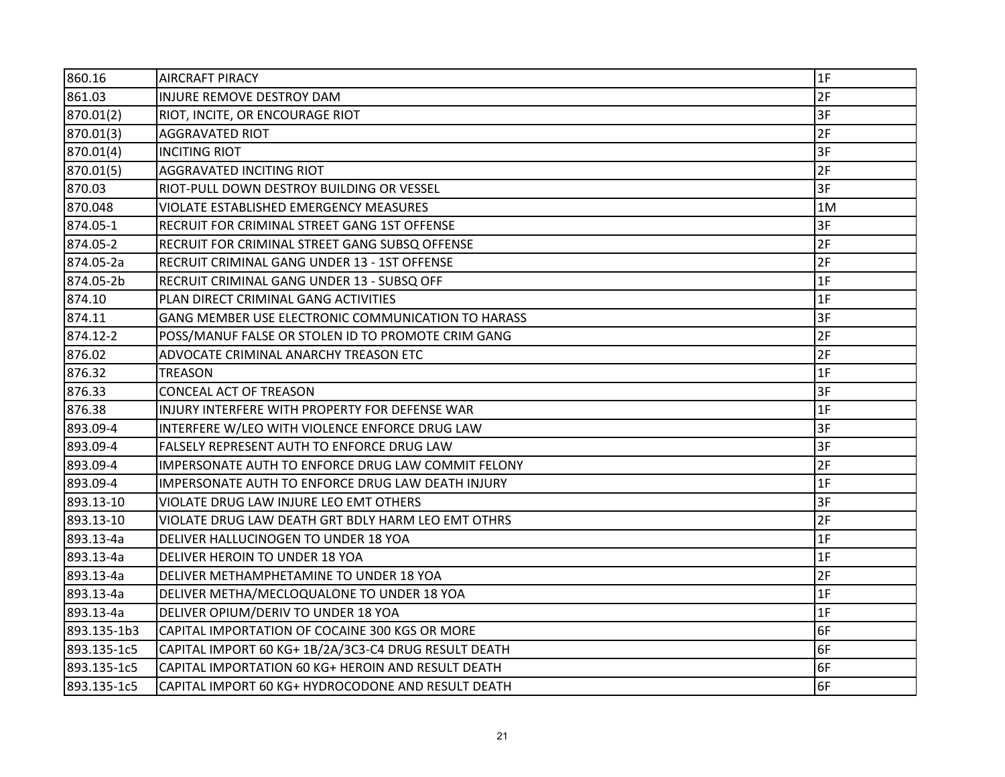| 860.16      | <b>AIRCRAFT PIRACY</b>                               | 1F |
|-------------|------------------------------------------------------|----|
| 861.03      | INJURE REMOVE DESTROY DAM                            | 2F |
| 870.01(2)   | RIOT, INCITE, OR ENCOURAGE RIOT                      | 3F |
| 870.01(3)   | <b>AGGRAVATED RIOT</b>                               | 2F |
| 870.01(4)   | <b>INCITING RIOT</b>                                 | 3F |
| 870.01(5)   | AGGRAVATED INCITING RIOT                             | 2F |
| 870.03      | RIOT-PULL DOWN DESTROY BUILDING OR VESSEL            | 3F |
| 870.048     | VIOLATE ESTABLISHED EMERGENCY MEASURES               | 1M |
| 874.05-1    | RECRUIT FOR CRIMINAL STREET GANG 1ST OFFENSE         | 3F |
| 874.05-2    | RECRUIT FOR CRIMINAL STREET GANG SUBSQ OFFENSE       | 2F |
| 874.05-2a   | RECRUIT CRIMINAL GANG UNDER 13 - 1ST OFFENSE         | 2F |
| 874.05-2b   | RECRUIT CRIMINAL GANG UNDER 13 - SUBSQ OFF           | 1F |
| 874.10      | PLAN DIRECT CRIMINAL GANG ACTIVITIES                 | 1F |
| 874.11      | GANG MEMBER USE ELECTRONIC COMMUNICATION TO HARASS   | 3F |
| 874.12-2    | POSS/MANUF FALSE OR STOLEN ID TO PROMOTE CRIM GANG   | 2F |
| 876.02      | ADVOCATE CRIMINAL ANARCHY TREASON ETC                | 2F |
| 876.32      | <b>TREASON</b>                                       | 1F |
| 876.33      | CONCEAL ACT OF TREASON                               | 3F |
| 876.38      | INJURY INTERFERE WITH PROPERTY FOR DEFENSE WAR       | 1F |
| 893.09-4    | INTERFERE W/LEO WITH VIOLENCE ENFORCE DRUG LAW       | 3F |
| 893.09-4    | FALSELY REPRESENT AUTH TO ENFORCE DRUG LAW           | 3F |
| 893.09-4    | IMPERSONATE AUTH TO ENFORCE DRUG LAW COMMIT FELONY   | 2F |
| 893.09-4    | IMPERSONATE AUTH TO ENFORCE DRUG LAW DEATH INJURY    | 1F |
| 893.13-10   | VIOLATE DRUG LAW INJURE LEO EMT OTHERS               | 3F |
| 893.13-10   | VIOLATE DRUG LAW DEATH GRT BDLY HARM LEO EMT OTHRS   | 2F |
| 893.13-4a   | DELIVER HALLUCINOGEN TO UNDER 18 YOA                 | 1F |
| 893.13-4a   | DELIVER HEROIN TO UNDER 18 YOA                       | 1F |
| 893.13-4a   | DELIVER METHAMPHETAMINE TO UNDER 18 YOA              | 2F |
| 893.13-4a   | DELIVER METHA/MECLOQUALONE TO UNDER 18 YOA           | 1F |
| 893.13-4a   | DELIVER OPIUM/DERIV TO UNDER 18 YOA                  | 1F |
| 893.135-1b3 | CAPITAL IMPORTATION OF COCAINE 300 KGS OR MORE       | 6F |
| 893.135-1c5 | CAPITAL IMPORT 60 KG+ 1B/2A/3C3-C4 DRUG RESULT DEATH | 6F |
| 893.135-1c5 | CAPITAL IMPORTATION 60 KG+ HEROIN AND RESULT DEATH   | 6F |
| 893.135-1c5 | CAPITAL IMPORT 60 KG+ HYDROCODONE AND RESULT DEATH   | 6F |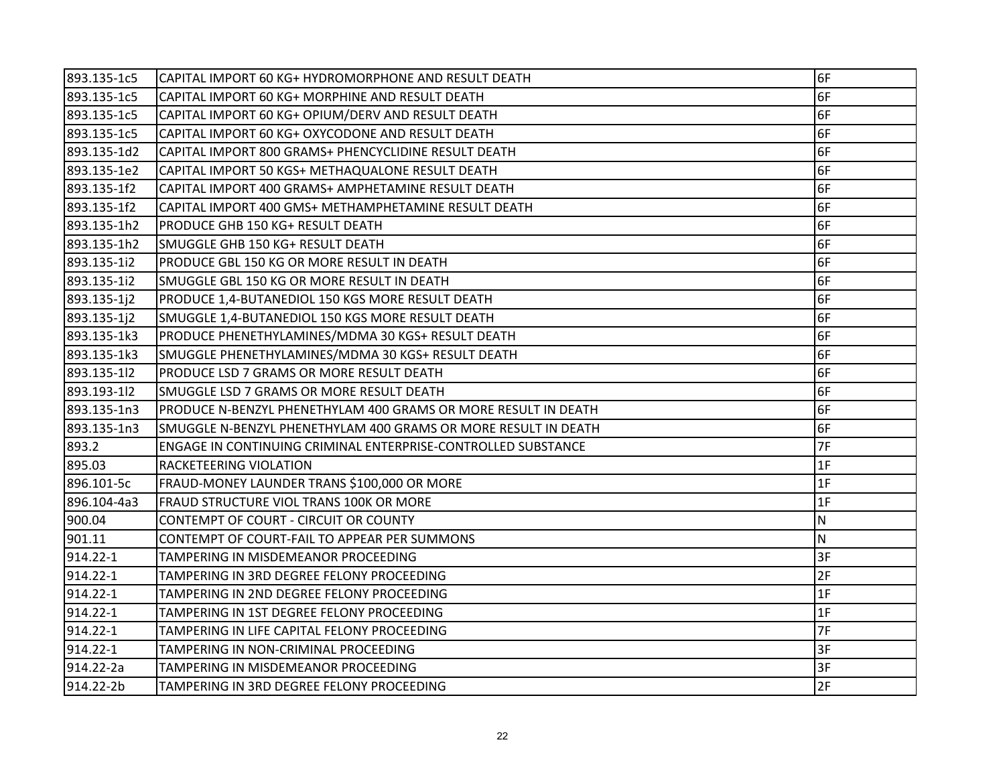| 893.135-1c5 | CAPITAL IMPORT 60 KG+ HYDROMORPHONE AND RESULT DEATH           | 6F       |
|-------------|----------------------------------------------------------------|----------|
| 893.135-1c5 | CAPITAL IMPORT 60 KG+ MORPHINE AND RESULT DEATH                | 6F       |
| 893.135-1c5 | CAPITAL IMPORT 60 KG+ OPIUM/DERV AND RESULT DEATH              | 6F       |
| 893.135-1c5 | CAPITAL IMPORT 60 KG+ OXYCODONE AND RESULT DEATH               | 6F       |
| 893.135-1d2 | CAPITAL IMPORT 800 GRAMS+ PHENCYCLIDINE RESULT DEATH           | 6F       |
| 893.135-1e2 | CAPITAL IMPORT 50 KGS+ METHAQUALONE RESULT DEATH               | 6F       |
| 893.135-1f2 | CAPITAL IMPORT 400 GRAMS+ AMPHETAMINE RESULT DEATH             | 6F       |
| 893.135-1f2 | CAPITAL IMPORT 400 GMS+ METHAMPHETAMINE RESULT DEATH           | 6F       |
| 893.135-1h2 | PRODUCE GHB 150 KG+ RESULT DEATH                               | 6F       |
| 893.135-1h2 | SMUGGLE GHB 150 KG+ RESULT DEATH                               | 6F       |
| 893.135-1i2 | PRODUCE GBL 150 KG OR MORE RESULT IN DEATH                     | 6F       |
| 893.135-1i2 | SMUGGLE GBL 150 KG OR MORE RESULT IN DEATH                     | 6F       |
| 893.135-1j2 | PRODUCE 1,4-BUTANEDIOL 150 KGS MORE RESULT DEATH               | 6F       |
| 893.135-1j2 | SMUGGLE 1,4-BUTANEDIOL 150 KGS MORE RESULT DEATH               | 6F       |
| 893.135-1k3 | PRODUCE PHENETHYLAMINES/MDMA 30 KGS+ RESULT DEATH              | 6F       |
| 893.135-1k3 | SMUGGLE PHENETHYLAMINES/MDMA 30 KGS+ RESULT DEATH              | 6F       |
| 893.135-112 | PRODUCE LSD 7 GRAMS OR MORE RESULT DEATH                       | 6F       |
| 893.193-112 | SMUGGLE LSD 7 GRAMS OR MORE RESULT DEATH                       | 6F       |
| 893.135-1n3 | PRODUCE N-BENZYL PHENETHYLAM 400 GRAMS OR MORE RESULT IN DEATH | 6F       |
| 893.135-1n3 | SMUGGLE N-BENZYL PHENETHYLAM 400 GRAMS OR MORE RESULT IN DEATH | 6F       |
| 893.2       | ENGAGE IN CONTINUING CRIMINAL ENTERPRISE-CONTROLLED SUBSTANCE  | 7F       |
| 895.03      | RACKETEERING VIOLATION                                         | 1F       |
| 896.101-5c  | FRAUD-MONEY LAUNDER TRANS \$100,000 OR MORE                    | 1F       |
| 896.104-4a3 | FRAUD STRUCTURE VIOL TRANS 100K OR MORE                        | 1F       |
| 900.04      | CONTEMPT OF COURT - CIRCUIT OR COUNTY                          | <b>N</b> |
| 901.11      | CONTEMPT OF COURT-FAIL TO APPEAR PER SUMMONS                   | N.       |
| 914.22-1    | TAMPERING IN MISDEMEANOR PROCEEDING                            | 3F       |
| 914.22-1    | TAMPERING IN 3RD DEGREE FELONY PROCEEDING                      | 2F       |
| 914.22-1    | TAMPERING IN 2ND DEGREE FELONY PROCEEDING                      | 1F       |
| 914.22-1    | TAMPERING IN 1ST DEGREE FELONY PROCEEDING                      | 1F       |
| 914.22-1    | TAMPERING IN LIFE CAPITAL FELONY PROCEEDING                    | 7F       |
| 914.22-1    | TAMPERING IN NON-CRIMINAL PROCEEDING                           | 3F       |
| 914.22-2a   | TAMPERING IN MISDEMEANOR PROCEEDING                            | 3F       |
| 914.22-2b   | TAMPERING IN 3RD DEGREE FELONY PROCEEDING                      | 2F       |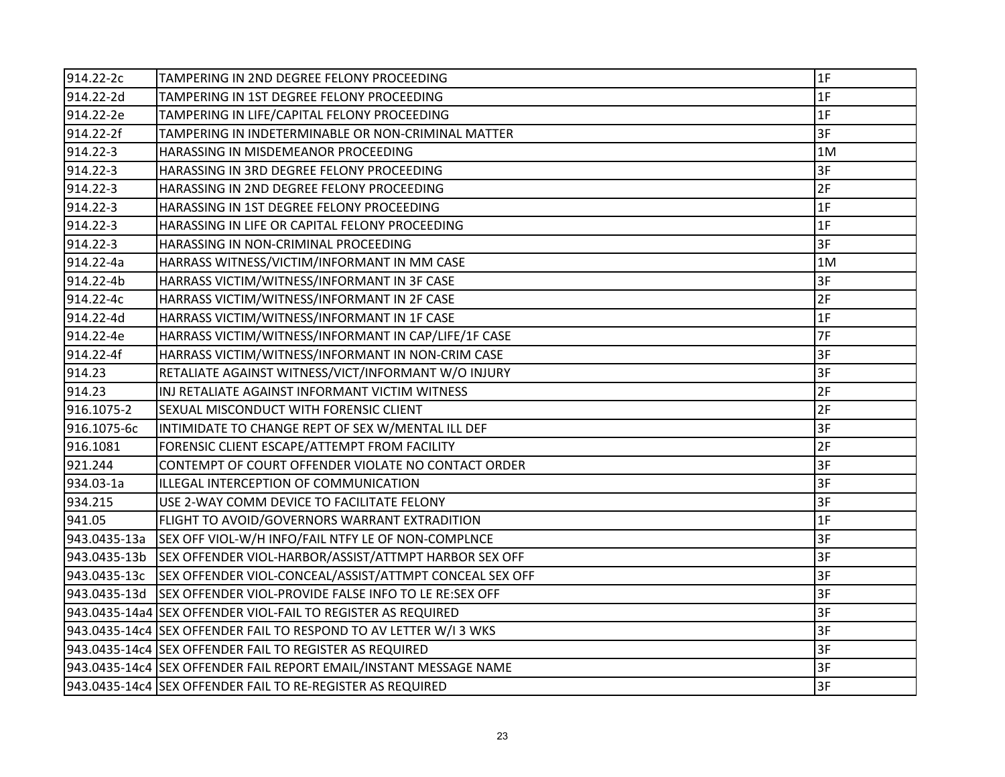| 914.22-2c    | TAMPERING IN 2ND DEGREE FELONY PROCEEDING                            | 1F |
|--------------|----------------------------------------------------------------------|----|
| 914.22-2d    | TAMPERING IN 1ST DEGREE FELONY PROCEEDING                            | 1F |
| 914.22-2e    | TAMPERING IN LIFE/CAPITAL FELONY PROCEEDING                          | 1F |
| 914.22-2f    | TAMPERING IN INDETERMINABLE OR NON-CRIMINAL MATTER                   | 3F |
| 914.22-3     | HARASSING IN MISDEMEANOR PROCEEDING                                  | 1M |
| 914.22-3     | HARASSING IN 3RD DEGREE FELONY PROCEEDING                            | 3F |
| 914.22-3     | HARASSING IN 2ND DEGREE FELONY PROCEEDING                            | 2F |
| 914.22-3     | HARASSING IN 1ST DEGREE FELONY PROCEEDING                            | 1F |
| 914.22-3     | HARASSING IN LIFE OR CAPITAL FELONY PROCEEDING                       | 1F |
| 914.22-3     | HARASSING IN NON-CRIMINAL PROCEEDING                                 | 3F |
| 914.22-4a    | HARRASS WITNESS/VICTIM/INFORMANT IN MM CASE                          | 1M |
| 914.22-4b    | HARRASS VICTIM/WITNESS/INFORMANT IN 3F CASE                          | 3F |
| 914.22-4c    | HARRASS VICTIM/WITNESS/INFORMANT IN 2F CASE                          | 2F |
| 914.22-4d    | HARRASS VICTIM/WITNESS/INFORMANT IN 1F CASE                          | 1F |
| 914.22-4e    | HARRASS VICTIM/WITNESS/INFORMANT IN CAP/LIFE/1F CASE                 | 7F |
| 914.22-4f    | HARRASS VICTIM/WITNESS/INFORMANT IN NON-CRIM CASE                    | 3F |
| 914.23       | RETALIATE AGAINST WITNESS/VICT/INFORMANT W/O INJURY                  | 3F |
| 914.23       | INJ RETALIATE AGAINST INFORMANT VICTIM WITNESS                       | 2F |
| 916.1075-2   | <b>SEXUAL MISCONDUCT WITH FORENSIC CLIENT</b>                        | 2F |
| 916.1075-6c  | INTIMIDATE TO CHANGE REPT OF SEX W/MENTAL ILL DEF                    | 3F |
| 916.1081     | FORENSIC CLIENT ESCAPE/ATTEMPT FROM FACILITY                         | 2F |
| 921.244      | CONTEMPT OF COURT OFFENDER VIOLATE NO CONTACT ORDER                  | 3F |
| 934.03-1a    | ILLEGAL INTERCEPTION OF COMMUNICATION                                | 3F |
| 934.215      | USE 2-WAY COMM DEVICE TO FACILITATE FELONY                           | 3F |
| 941.05       | FLIGHT TO AVOID/GOVERNORS WARRANT EXTRADITION                        | 1F |
| 943.0435-13a | SEX OFF VIOL-W/H INFO/FAIL NTFY LE OF NON-COMPLNCE                   | 3F |
| 943.0435-13b | SEX OFFENDER VIOL-HARBOR/ASSIST/ATTMPT HARBOR SEX OFF                | 3F |
|              | 943.0435-13c SEX OFFENDER VIOL-CONCEAL/ASSIST/ATTMPT CONCEAL SEX OFF | 3F |
|              | 943.0435-13d SEX OFFENDER VIOL-PROVIDE FALSE INFO TO LE RE:SEX OFF   | 3F |
|              | 943.0435-14a4 SEX OFFENDER VIOL-FAIL TO REGISTER AS REQUIRED         | 3F |
|              | 943.0435-14c4 SEX OFFENDER FAIL TO RESPOND TO AV LETTER W/I 3 WKS    | 3F |
|              | 943.0435-14c4 SEX OFFENDER FAIL TO REGISTER AS REQUIRED              | 3F |
|              |                                                                      | 3F |
|              | 943.0435-14c4 SEX OFFENDER FAIL TO RE-REGISTER AS REQUIRED           | 3F |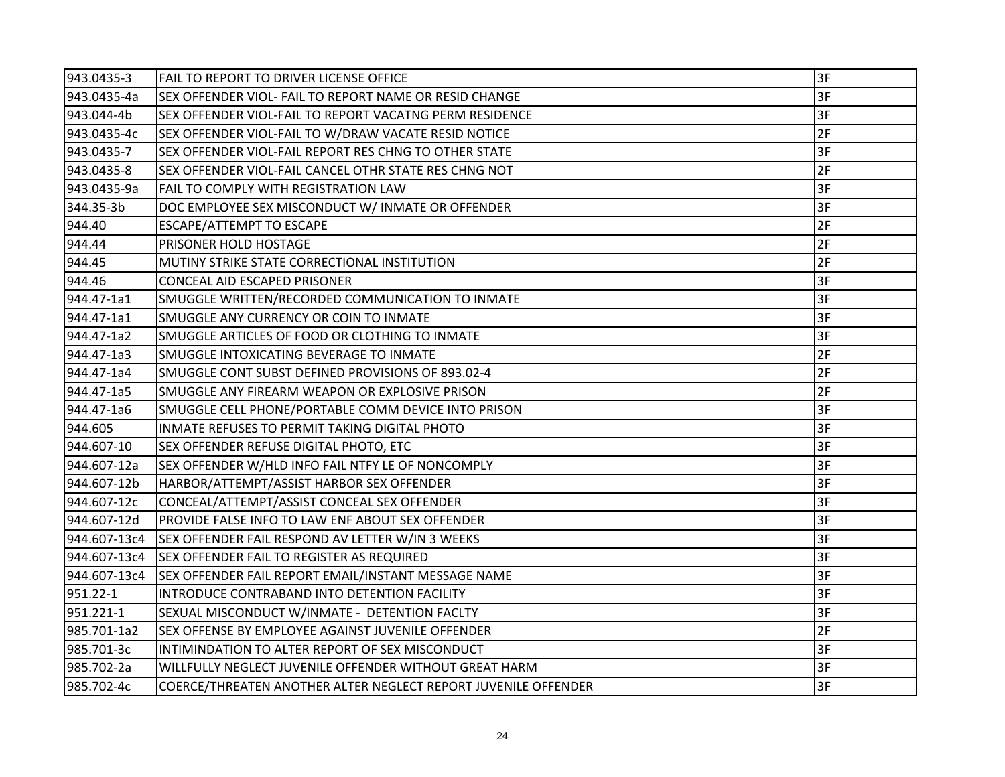| 943.0435-3   | FAIL TO REPORT TO DRIVER LICENSE OFFICE                        | 3F |
|--------------|----------------------------------------------------------------|----|
| 943.0435-4a  | SEX OFFENDER VIOL- FAIL TO REPORT NAME OR RESID CHANGE         | 3F |
| 943.044-4b   | SEX OFFENDER VIOL-FAIL TO REPORT VACATNG PERM RESIDENCE        | 3F |
| 943.0435-4c  | SEX OFFENDER VIOL-FAIL TO W/DRAW VACATE RESID NOTICE           | 2F |
| 943.0435-7   | SEX OFFENDER VIOL-FAIL REPORT RES CHNG TO OTHER STATE          | 3F |
| 943.0435-8   | SEX OFFENDER VIOL-FAIL CANCEL OTHR STATE RES CHNG NOT          | 2F |
| 943.0435-9a  | FAIL TO COMPLY WITH REGISTRATION LAW                           | 3F |
| 344.35-3b    | DOC EMPLOYEE SEX MISCONDUCT W/ INMATE OR OFFENDER              | 3F |
| 944.40       | <b>ESCAPE/ATTEMPT TO ESCAPE</b>                                | 2F |
| 944.44       | PRISONER HOLD HOSTAGE                                          | 2F |
| 944.45       | MUTINY STRIKE STATE CORRECTIONAL INSTITUTION                   | 2F |
| 944.46       | CONCEAL AID ESCAPED PRISONER                                   | 3F |
| 944.47-1a1   | SMUGGLE WRITTEN/RECORDED COMMUNICATION TO INMATE               | 3F |
| 944.47-1a1   | SMUGGLE ANY CURRENCY OR COIN TO INMATE                         | 3F |
| 944.47-1a2   | SMUGGLE ARTICLES OF FOOD OR CLOTHING TO INMATE                 | 3F |
| 944.47-1a3   | SMUGGLE INTOXICATING BEVERAGE TO INMATE                        | 2F |
| 944.47-1a4   | SMUGGLE CONT SUBST DEFINED PROVISIONS OF 893.02-4              | 2F |
| 944.47-1a5   | SMUGGLE ANY FIREARM WEAPON OR EXPLOSIVE PRISON                 | 2F |
| 944.47-1a6   | SMUGGLE CELL PHONE/PORTABLE COMM DEVICE INTO PRISON            | 3F |
| 944.605      | INMATE REFUSES TO PERMIT TAKING DIGITAL PHOTO                  | 3F |
| 944.607-10   | SEX OFFENDER REFUSE DIGITAL PHOTO, ETC                         | 3F |
| 944.607-12a  | SEX OFFENDER W/HLD INFO FAIL NTFY LE OF NONCOMPLY              | 3F |
| 944.607-12b  | HARBOR/ATTEMPT/ASSIST HARBOR SEX OFFENDER                      | 3F |
| 944.607-12c  | CONCEAL/ATTEMPT/ASSIST CONCEAL SEX OFFENDER                    | 3F |
| 944.607-12d  | PROVIDE FALSE INFO TO LAW ENF ABOUT SEX OFFENDER               | 3F |
| 944.607-13c4 | SEX OFFENDER FAIL RESPOND AV LETTER W/IN 3 WEEKS               | 3F |
| 944.607-13c4 | <b>SEX OFFENDER FAIL TO REGISTER AS REQUIRED</b>               | 3F |
| 944.607-13c4 | SEX OFFENDER FAIL REPORT EMAIL/INSTANT MESSAGE NAME            | 3F |
| 951.22-1     | INTRODUCE CONTRABAND INTO DETENTION FACILITY                   | 3F |
| 951.221-1    | SEXUAL MISCONDUCT W/INMATE - DETENTION FACLTY                  | 3F |
| 985.701-1a2  | SEX OFFENSE BY EMPLOYEE AGAINST JUVENILE OFFENDER              | 2F |
| 985.701-3c   | INTIMINDATION TO ALTER REPORT OF SEX MISCONDUCT                | 3F |
| 985.702-2a   | WILLFULLY NEGLECT JUVENILE OFFENDER WITHOUT GREAT HARM         | 3F |
| 985.702-4c   | COERCE/THREATEN ANOTHER ALTER NEGLECT REPORT JUVENILE OFFENDER | 3F |